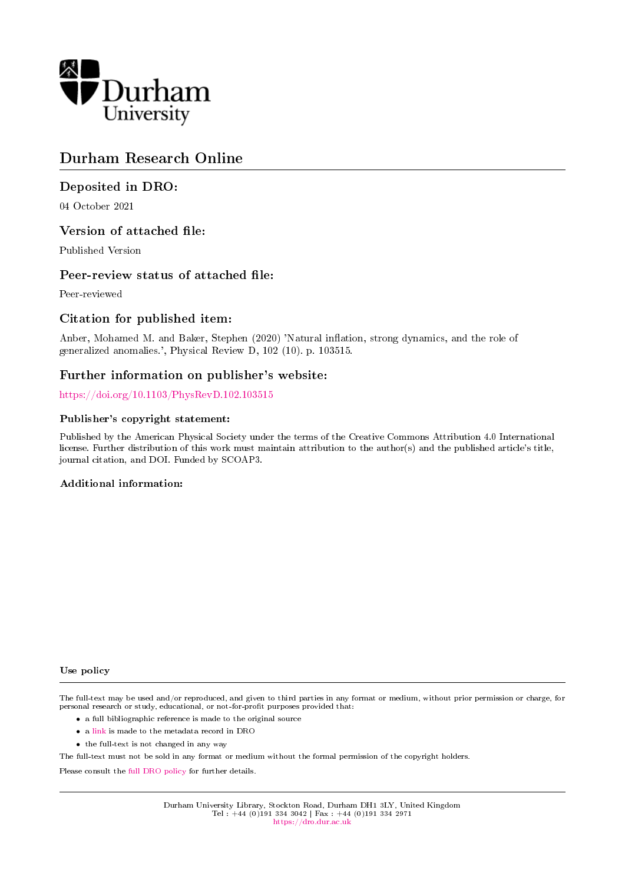

# Durham Research Online

## Deposited in DRO:

04 October 2021

## Version of attached file:

Published Version

## Peer-review status of attached file:

Peer-reviewed

## Citation for published item:

Anber, Mohamed M. and Baker, Stephen (2020) 'Natural inflation, strong dynamics, and the role of generalized anomalies.', Physical Review D, 102 (10). p. 103515.

## Further information on publisher's website:

<https://doi.org/10.1103/PhysRevD.102.103515>

## Publisher's copyright statement:

Published by the American Physical Society under the terms of the Creative Commons Attribution 4.0 International license. Further distribution of this work must maintain attribution to the author(s) and the published article's title, journal citation, and DOI. Funded by SCOAP3.

## Additional information:

## Use policy

The full-text may be used and/or reproduced, and given to third parties in any format or medium, without prior permission or charge, for personal research or study, educational, or not-for-profit purposes provided that:

- a full bibliographic reference is made to the original source
- a [link](http://dro.dur.ac.uk/34031/) is made to the metadata record in DRO
- the full-text is not changed in any way

The full-text must not be sold in any format or medium without the formal permission of the copyright holders.

Please consult the [full DRO policy](https://dro.dur.ac.uk/policies/usepolicy.pdf) for further details.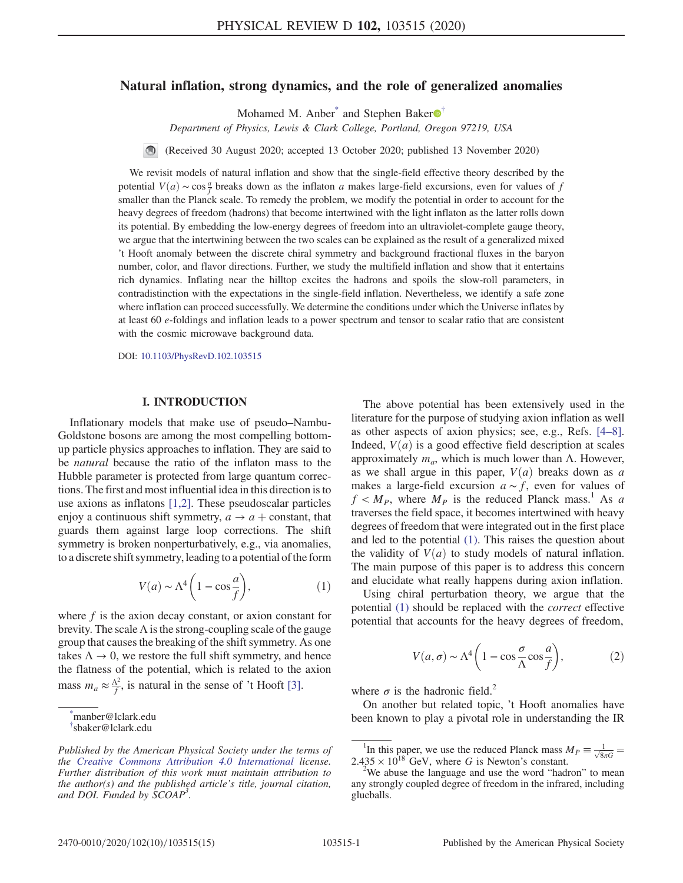## <span id="page-1-3"></span>Natural inflation, strong dynamics, and the role of generalized anomalies

Mohamed M. Anber<sup>\*</sup> and Stephen Baker $\mathbf{\Theta}^{\dagger}$ 

Department of Physics, Lewis & Clark College, Portland, Oregon 97219, USA

 $\blacksquare$ (Received 30 August 2020; accepted 13 October 2020; published 13 November 2020)

We revisit models of natural inflation and show that the single-field effective theory described by the potential  $V(a) \sim \cos \frac{a}{f}$  breaks down as the inflaton a makes large-field excursions, even for values of f smaller than the Planck scale. To remedy the problem, we modify the potential in order to account for the heavy degrees of freedom (hadrons) that become intertwined with the light inflaton as the latter rolls down its potential. By embedding the low-energy degrees of freedom into an ultraviolet-complete gauge theory, we argue that the intertwining between the two scales can be explained as the result of a generalized mixed 't Hooft anomaly between the discrete chiral symmetry and background fractional fluxes in the baryon number, color, and flavor directions. Further, we study the multifield inflation and show that it entertains rich dynamics. Inflating near the hilltop excites the hadrons and spoils the slow-roll parameters, in contradistinction with the expectations in the single-field inflation. Nevertheless, we identify a safe zone where inflation can proceed successfully. We determine the conditions under which the Universe inflates by at least 60 e-foldings and inflation leads to a power spectrum and tensor to scalar ratio that are consistent with the cosmic microwave background data.

DOI: [10.1103/PhysRevD.102.103515](https://doi.org/10.1103/PhysRevD.102.103515)

#### I. INTRODUCTION

Inflationary models that make use of pseudo–Nambu-Goldstone bosons are among the most compelling bottomup particle physics approaches to inflation. They are said to be natural because the ratio of the inflaton mass to the Hubble parameter is protected from large quantum corrections. The first and most influential idea in this direction is to use axions as inflatons [\[1,2\]](#page-14-0). These pseudoscalar particles enjoy a continuous shift symmetry,  $a \rightarrow a +$  constant, that guards them against large loop corrections. The shift symmetry is broken nonperturbatively, e.g., via anomalies, to a discrete shift symmetry, leading to a potential of the form

$$
V(a) \sim \Lambda^4 \left( 1 - \cos \frac{a}{f} \right),\tag{1}
$$

<span id="page-1-2"></span>where  $f$  is the axion decay constant, or axion constant for brevity. The scale  $\Lambda$  is the strong-coupling scale of the gauge group that causes the breaking of the shift symmetry. As one takes  $\Lambda \rightarrow 0$ , we restore the full shift symmetry, and hence the flatness of the potential, which is related to the axion mass  $m_a \approx \frac{\Lambda^2}{f}$ , is natural in the sense of 't Hooft [\[3\].](#page-14-1)

<span id="page-1-1"></span><span id="page-1-0"></span>manber@lclark.edu [†](#page-1-3) sbaker@lclark.edu

The above potential has been extensively used in the literature for the purpose of studying axion inflation as well as other aspects of axion physics; see, e.g., Refs. [\[4](#page-14-2)–8]. Indeed,  $V(a)$  is a good effective field description at scales approximately  $m_a$ , which is much lower than Λ. However, as we shall argue in this paper,  $V(a)$  breaks down as a makes a large-field excursion  $a \sim f$ , even for values of  $f < M_P$ , where  $M_P$  is the reduced Planck mass.<sup>1</sup> As a traverses the field space, it becomes intertwined with heavy degrees of freedom that were integrated out in the first place and led to the potential [\(1\)](#page-1-2). This raises the question about the validity of  $V(a)$  to study models of natural inflation. The main purpose of this paper is to address this concern and elucidate what really happens during axion inflation.

<span id="page-1-4"></span>Using chiral perturbation theory, we argue that the potential [\(1\)](#page-1-2) should be replaced with the correct effective potential that accounts for the heavy degrees of freedom,

$$
V(a,\sigma) \sim \Lambda^4 \left( 1 - \cos\frac{\sigma}{\Lambda}\cos\frac{a}{f} \right),\tag{2}
$$

where  $\sigma$  is the hadronic field.<sup>2</sup>

On another but related topic, 't Hooft anomalies have been known to play a pivotal role in understanding the IR [\\*](#page-1-3)

Published by the American Physical Society under the terms of the [Creative Commons Attribution 4.0 International](https://creativecommons.org/licenses/by/4.0/) license. Further distribution of this work must maintain attribution to the author(s) and the published article's title, journal citation, and DOI. Funded by SCOAP<sup>3</sup>.

<sup>&</sup>lt;sup>1</sup>In this paper, we use the reduced Planck mass  $M_P = \frac{1}{\sqrt{8\pi G}} = 2.435 \times 10^{18}$  GeV, where G is Newton's constant.

We abuse the language and use the word "hadron" to mean any strongly coupled degree of freedom in the infrared, including glueballs.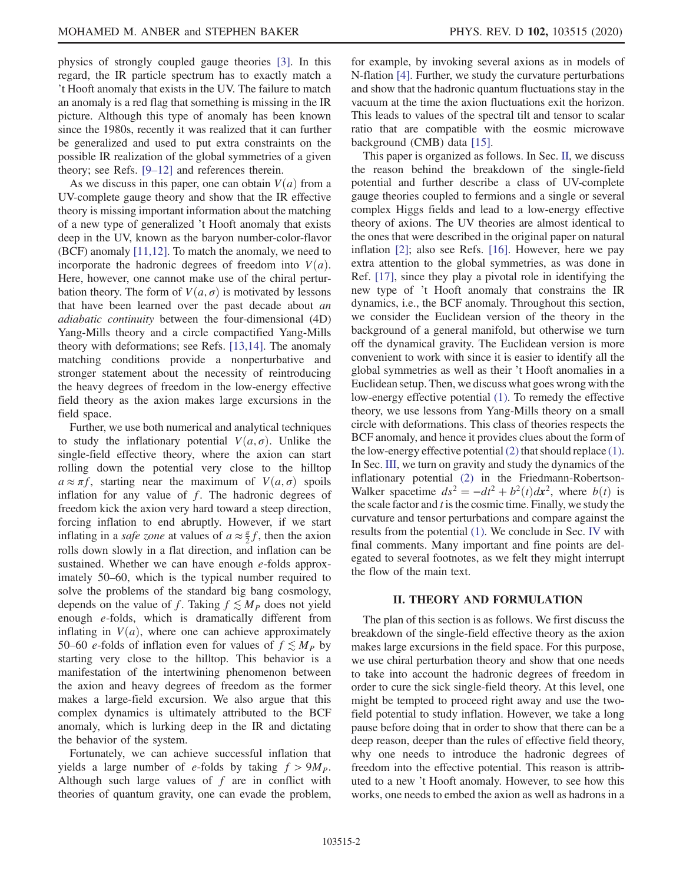physics of strongly coupled gauge theories [\[3\]](#page-14-1). In this regard, the IR particle spectrum has to exactly match a 't Hooft anomaly that exists in the UV. The failure to match an anomaly is a red flag that something is missing in the IR picture. Although this type of anomaly has been known since the 1980s, recently it was realized that it can further be generalized and used to put extra constraints on the possible IR realization of the global symmetries of a given theory; see Refs. [9–[12\]](#page-15-0) and references therein.

As we discuss in this paper, one can obtain  $V(a)$  from a UV-complete gauge theory and show that the IR effective theory is missing important information about the matching of a new type of generalized 't Hooft anomaly that exists deep in the UV, known as the baryon number-color-flavor (BCF) anomaly [\[11,12\].](#page-15-1) To match the anomaly, we need to incorporate the hadronic degrees of freedom into  $V(a)$ . Here, however, one cannot make use of the chiral perturbation theory. The form of  $V(a, \sigma)$  is motivated by lessons that have been learned over the past decade about an adiabatic continuity between the four-dimensional (4D) Yang-Mills theory and a circle compactified Yang-Mills theory with deformations; see Refs. [\[13,14\].](#page-15-2) The anomaly matching conditions provide a nonperturbative and stronger statement about the necessity of reintroducing the heavy degrees of freedom in the low-energy effective field theory as the axion makes large excursions in the field space.

Further, we use both numerical and analytical techniques to study the inflationary potential  $V(a, \sigma)$ . Unlike the single-field effective theory, where the axion can start rolling down the potential very close to the hilltop  $a \approx \pi f$ , starting near the maximum of  $V(a, \sigma)$  spoils inflation for any value of  $f$ . The hadronic degrees of freedom kick the axion very hard toward a steep direction, forcing inflation to end abruptly. However, if we start inflating in a *safe zone* at values of  $a \approx \frac{\pi}{2}f$ , then the axion rolls down slowly in a flat direction, and inflation can be sustained. Whether we can have enough e-folds approximately 50–60, which is the typical number required to solve the problems of the standard big bang cosmology, depends on the value of f. Taking  $f \lesssim M_p$  does not yield enough e-folds, which is dramatically different from inflating in  $V(a)$ , where one can achieve approximately 50–60 *e*-folds of inflation even for values of  $f \lesssim M_P$  by starting very close to the hilltop. This behavior is a manifestation of the intertwining phenomenon between the axion and heavy degrees of freedom as the former makes a large-field excursion. We also argue that this complex dynamics is ultimately attributed to the BCF anomaly, which is lurking deep in the IR and dictating the behavior of the system.

Fortunately, we can achieve successful inflation that yields a large number of e-folds by taking  $f > 9M_p$ . Although such large values of  $f$  are in conflict with theories of quantum gravity, one can evade the problem, for example, by invoking several axions as in models of N-flation [\[4\].](#page-14-2) Further, we study the curvature perturbations and show that the hadronic quantum fluctuations stay in the vacuum at the time the axion fluctuations exit the horizon. This leads to values of the spectral tilt and tensor to scalar ratio that are compatible with the eosmic microwave background (CMB) data [\[15\].](#page-15-3)

This paper is organized as follows. In Sec. [II](#page-2-0), we discuss the reason behind the breakdown of the single-field potential and further describe a class of UV-complete gauge theories coupled to fermions and a single or several complex Higgs fields and lead to a low-energy effective theory of axions. The UV theories are almost identical to the ones that were described in the original paper on natural inflation [\[2\]](#page-14-3); also see Refs. [\[16\]](#page-15-4). However, here we pay extra attention to the global symmetries, as was done in Ref. [\[17\]](#page-15-5), since they play a pivotal role in identifying the new type of 't Hooft anomaly that constrains the IR dynamics, i.e., the BCF anomaly. Throughout this section, we consider the Euclidean version of the theory in the background of a general manifold, but otherwise we turn off the dynamical gravity. The Euclidean version is more convenient to work with since it is easier to identify all the global symmetries as well as their 't Hooft anomalies in a Euclidean setup. Then, we discuss what goes wrong with the low-energy effective potential [\(1\).](#page-1-2) To remedy the effective theory, we use lessons from Yang-Mills theory on a small circle with deformations. This class of theories respects the BCF anomaly, and hence it provides clues about the form of the low-energy effective potential [\(2\)](#page-1-4) that should replace [\(1\)](#page-1-2). In Sec. [III,](#page-9-0) we turn on gravity and study the dynamics of the inflationary potential [\(2\)](#page-1-4) in the Friedmann-Robertson-Walker spacetime  $ds^2 = -dt^2 + b^2(t)dx^2$ , where  $b(t)$  is the scale factor and  $t$  is the cosmic time. Finally, we study the curvature and tensor perturbations and compare against the results from the potential [\(1\)](#page-1-2). We conclude in Sec. [IV](#page-14-4) with final comments. Many important and fine points are delegated to several footnotes, as we felt they might interrupt the flow of the main text.

### II. THEORY AND FORMULATION

<span id="page-2-0"></span>The plan of this section is as follows. We first discuss the breakdown of the single-field effective theory as the axion makes large excursions in the field space. For this purpose, we use chiral perturbation theory and show that one needs to take into account the hadronic degrees of freedom in order to cure the sick single-field theory. At this level, one might be tempted to proceed right away and use the twofield potential to study inflation. However, we take a long pause before doing that in order to show that there can be a deep reason, deeper than the rules of effective field theory, why one needs to introduce the hadronic degrees of freedom into the effective potential. This reason is attributed to a new 't Hooft anomaly. However, to see how this works, one needs to embed the axion as well as hadrons in a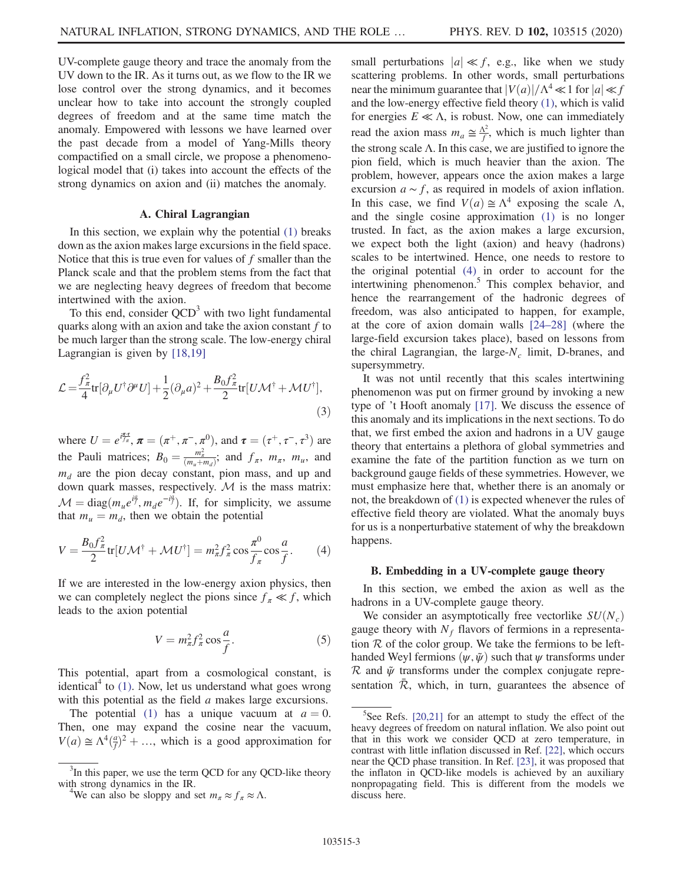UV-complete gauge theory and trace the anomaly from the UV down to the IR. As it turns out, as we flow to the IR we lose control over the strong dynamics, and it becomes unclear how to take into account the strongly coupled degrees of freedom and at the same time match the anomaly. Empowered with lessons we have learned over the past decade from a model of Yang-Mills theory compactified on a small circle, we propose a phenomenological model that (i) takes into account the effects of the strong dynamics on axion and (ii) matches the anomaly.

### A. Chiral Lagrangian

In this section, we explain why the potential [\(1\)](#page-1-2) breaks down as the axion makes large excursions in the field space. Notice that this is true even for values of  $f$  smaller than the Planck scale and that the problem stems from the fact that we are neglecting heavy degrees of freedom that become intertwined with the axion.

To this end, consider  $QCD<sup>3</sup>$  with two light fundamental quarks along with an axion and take the axion constant  $f$  to be much larger than the strong scale. The low-energy chiral Lagrangian is given by [\[18,19\]](#page-15-6)

$$
\mathcal{L} = \frac{f_{\pi}^2}{4} tr[\partial_{\mu} U^{\dagger} \partial^{\mu} U] + \frac{1}{2} (\partial_{\mu} a)^2 + \frac{B_0 f_{\pi}^2}{2} tr[U \mathcal{M}^{\dagger} + \mathcal{M} U^{\dagger}],
$$
\n(3)

where  $U = e^{i\frac{\pi\tau}{f_\pi}}, \pi = (\pi^+, \pi^-, \pi^0)$ , and  $\tau = (\tau^+, \tau^-, \tau^3)$  are the Pauli matrices;  $B_0 = \frac{m_\pi^2}{(m_u + m_d)}$ ; and  $f_\pi$ ,  $m_\pi$ ,  $m_u$ , and  $m_d$  are the pion decay constant, pion mass, and up and down quark masses, respectively.  $M$  is the mass matrix:  $\mathcal{M} = \text{diag}(m_u e^{i\frac{\theta}{f}}, m_d e^{-i\frac{\theta}{f}})$ . If, for simplicity, we assume that  $m_u = m_d$ , then we obtain the potential

<span id="page-3-0"></span>
$$
V = \frac{B_0 f_\pi^2}{2} \text{tr}[U\mathcal{M}^\dagger + \mathcal{M}U^\dagger] = m_\pi^2 f_\pi^2 \cos\frac{\pi^0}{f_\pi} \cos\frac{a}{f}.
$$
 (4)

If we are interested in the low-energy axion physics, then we can completely neglect the pions since  $f_\pi \ll f$ , which leads to the axion potential

$$
V = m_{\pi}^2 f_{\pi}^2 \cos \frac{a}{f}.
$$
 (5)

This potential, apart from a cosmological constant, is identical<sup>4</sup> to  $(1)$ . Now, let us understand what goes wrong with this potential as the field a makes large excursions.

The potential [\(1\)](#page-1-2) has a unique vacuum at  $a = 0$ . Then, one may expand the cosine near the vacuum,  $V(a) \cong \Lambda^4(\frac{a}{f})^2 + \dots$ , which is a good approximation for small perturbations  $|a| \ll f$ , e.g., like when we study scattering problems. In other words, small perturbations near the minimum guarantee that  $|V(a)|/\Lambda^4 \ll 1$  for  $|a| \ll f$ and the low-energy effective field theory [\(1\)](#page-1-2), which is valid for energies  $E \ll \Lambda$ , is robust. Now, one can immediately read the axion mass  $m_a \approx \frac{\Lambda^2}{f}$ , which is much lighter than the strong scale  $\Lambda$ . In this case, we are justified to ignore the pion field, which is much heavier than the axion. The problem, however, appears once the axion makes a large excursion  $a \sim f$ , as required in models of axion inflation. In this case, we find  $V(a) \cong \Lambda^4$  exposing the scale Λ, and the single cosine approximation [\(1\)](#page-1-2) is no longer trusted. In fact, as the axion makes a large excursion, we expect both the light (axion) and heavy (hadrons) scales to be intertwined. Hence, one needs to restore to the original potential [\(4\)](#page-3-0) in order to account for the intertwining phenomenon.<sup>5</sup> This complex behavior, and hence the rearrangement of the hadronic degrees of freedom, was also anticipated to happen, for example, at the core of axion domain walls [\[24](#page-15-7)–28] (where the large-field excursion takes place), based on lessons from the chiral Lagrangian, the large- $N_c$  limit, D-branes, and supersymmetry.

It was not until recently that this scales intertwining phenomenon was put on firmer ground by invoking a new type of 't Hooft anomaly [\[17\]](#page-15-5). We discuss the essence of this anomaly and its implications in the next sections. To do that, we first embed the axion and hadrons in a UV gauge theory that entertains a plethora of global symmetries and examine the fate of the partition function as we turn on background gauge fields of these symmetries. However, we must emphasize here that, whether there is an anomaly or not, the breakdown of [\(1\)](#page-1-2) is expected whenever the rules of effective field theory are violated. What the anomaly buys for us is a nonperturbative statement of why the breakdown happens.

#### B. Embedding in a UV-complete gauge theory

In this section, we embed the axion as well as the hadrons in a UV-complete gauge theory.

We consider an asymptotically free vectorlike  $SU(N_c)$ gauge theory with  $N_f$  flavors of fermions in a representation  $R$  of the color group. We take the fermions to be lefthanded Weyl fermions  $(\psi, \tilde{\psi})$  such that  $\psi$  transforms under  $\mathcal R$  and  $\tilde\psi$  transforms under the complex conjugate representation  $\overline{\mathcal{R}}$ , which, in turn, guarantees the absence of

 $3$ In this paper, we use the term QCD for any QCD-like theory with strong dynamics in the IR.

<sup>&</sup>lt;sup>4</sup>We can also be sloppy and set  $m_{\pi} \approx f_{\pi} \approx \Lambda$ .

 $5$ See Refs. [\[20,21\]](#page-15-8) for an attempt to study the effect of the heavy degrees of freedom on natural inflation. We also point out that in this work we consider QCD at zero temperature, in contrast with little inflation discussed in Ref. [\[22\],](#page-15-9) which occurs near the QCD phase transition. In Ref. [\[23\]](#page-15-10), it was proposed that the inflaton in QCD-like models is achieved by an auxiliary nonpropagating field. This is different from the models we discuss here.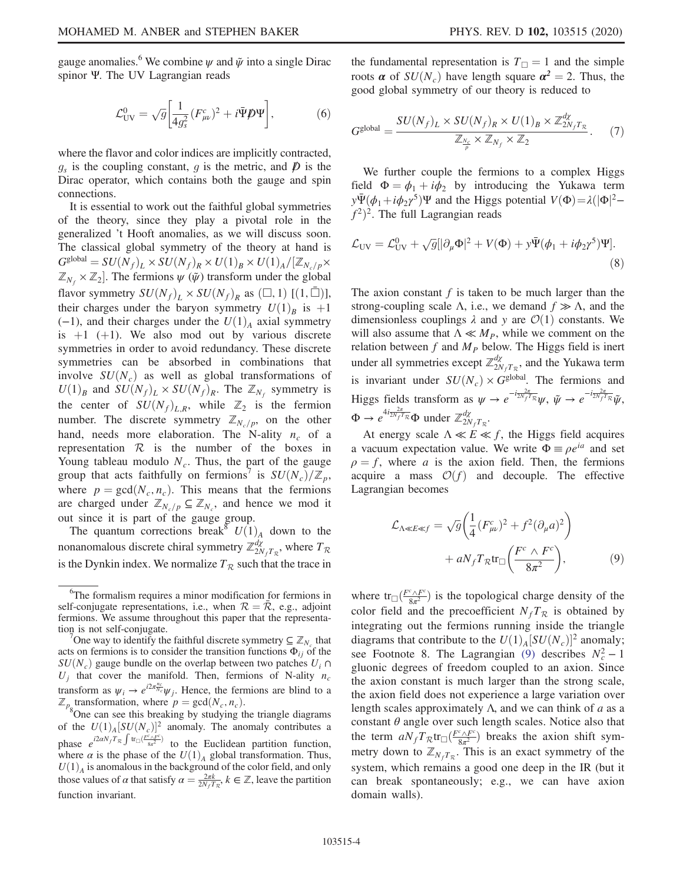gauge anomalies.<sup>6</sup> We combine  $\psi$  and  $\tilde{\psi}$  into a single Dirac spinor Ψ. The UV Lagrangian reads

$$
\mathcal{L}_{\text{UV}}^0 = \sqrt{g} \left[ \frac{1}{4g_s^2} (F_{\mu\nu}^c)^2 + i \bar{\Psi} \mathcal{D} \Psi \right],\tag{6}
$$

where the flavor and color indices are implicitly contracted,  $g_s$  is the coupling constant, g is the metric, and  $\boldsymbol{D}$  is the Dirac operator, which contains both the gauge and spin connections.

It is essential to work out the faithful global symmetries of the theory, since they play a pivotal role in the generalized 't Hooft anomalies, as we will discuss soon. The classical global symmetry of the theory at hand is  $G^{\text{global}} = SU(N_f)_L \times SU(N_f)_R \times U(1)_B \times U(1)_A/[\mathbb{Z}_{N_c/p} \times$  $\mathbb{Z}_{N_f} \times \mathbb{Z}_2$ . The fermions  $\psi(\tilde{\psi})$  transform under the global flavor symmetry  $SU(N_f)_L \times SU(N_f)_R$  as  $(\square, 1)$   $[(1, \square)],$ their charges under the baryon symmetry  $U(1)_B$  is  $+1$  $(-1)$ , and their charges under the  $U(1)$ <sub>A</sub> axial symmetry is  $+1$  (+1). We also mod out by various discrete symmetries in order to avoid redundancy. These discrete symmetries can be absorbed in combinations that involve  $SU(N_c)$  as well as global transformations of  $U(1)_B$  and  $SU(N_f)_L \times SU(N_f)_R$ . The  $\mathbb{Z}_{N_f}$  symmetry is the center of  $SU(N_f)_{L,R}$ , while  $\mathbb{Z}_2$  is the fermion number. The discrete symmetry  $\mathbb{Z}_{N_c/p}$ , on the other hand, needs more elaboration. The N-ality  $n_c$  of a representation  $R$  is the number of the boxes in Young tableau modulo  $N_c$ . Thus, the part of the gauge group that acts faithfully on fermions<sup>7</sup> is  $SU(N_c)/\mathbb{Z}_p$ , where  $p = \gcd(N_c, n_c)$ . This means that the fermions are charged under  $\mathbb{Z}_{N_c/p} \subseteq \mathbb{Z}_{N_c}$ , and hence we mod it out since it is part of the gauge group.

The quantum corrections break<sup>8</sup>  $U(1)_A$  down to the nonanomalous discrete chiral symmetry  $\mathbb{Z}_{2N_fT_{\mathcal{R}}}^{d\chi}$ , where  $T_{\mathcal{R}}$ is the Dynkin index. We normalize  $T_R$  such that the trace in

One way to identify the faithful discrete symmetry  $\subseteq \mathbb{Z}_{N}$ , that acts on fermions is to consider the transition functions  $\Phi_{ij}$  of the  $SU(N_c)$  gauge bundle on the overlap between two patches  $U_i \cap$  $U_i$  that cover the manifold. Then, fermions of N-ality  $n_c$ transform as  $\psi_i \to e^{i2\pi \frac{n_c}{N_c}} \psi_j$ . Hence, the fermions are blind to a  $\mathbb{Z}_{p_{8}}$ transformation, where  $p = \text{gcd}(N_c, n_c)$ .<br><sup>8</sup>One can see this breaking by studying the triangle diagrams

of the  $U(1)_A[SU(N_c)]^2$  anomaly. The anomaly contributes a phase  $e^{i2\alpha N_f T_R \int \text{tr}_{\Box} (F_{8\pi^2}^c)}$  to the Euclidean partition function, where  $\alpha$  is the phase of the  $U(1)_{A}$  global transformation. Thus,  $U(1)$ <sub>A</sub> is anomalous in the background of the color field, and only those values of  $\alpha$  that satisfy  $\alpha = \frac{2\pi k}{2N_f T_R}$ ,  $k \in \mathbb{Z}$ , leave the partition function invariant.

<span id="page-4-1"></span>the fundamental representation is  $T_{\Box} = 1$  and the simple roots  $\alpha$  of  $SU(N_c)$  have length square  $\alpha^2 = 2$ . Thus, the good global symmetry of our theory is reduced to

$$
G^{\text{global}} = \frac{SU(N_f)_L \times SU(N_f)_R \times U(1)_B \times \mathbb{Z}_{2N_f}^{d\chi}}{\mathbb{Z}_{\frac{N_c}{p}} \times \mathbb{Z}_{N_f} \times \mathbb{Z}_2}.
$$
 (7)

<span id="page-4-2"></span>We further couple the fermions to a complex Higgs field  $\Phi = \phi_1 + i\phi_2$  by introducing the Yukawa term  $y\Psi(\phi_1+i\phi_2\gamma^5)\Psi$  and the Higgs potential  $V(\Phi)=\lambda(|\Phi|^2-\lambda)$  $f^2$ <sup>2</sup>. The full Lagrangian reads

$$
\mathcal{L}_{\text{UV}} = \mathcal{L}_{\text{UV}}^0 + \sqrt{g} \left[ |\partial_\mu \Phi|^2 + V(\Phi) + y \bar{\Psi} (\phi_1 + i \phi_2 \gamma^5) \Psi \right]. \tag{8}
$$

The axion constant  $f$  is taken to be much larger than the strong-coupling scale Λ, i.e., we demand  $f \gg \Lambda$ , and the dimensionless couplings  $\lambda$  and  $\gamma$  are  $\mathcal{O}(1)$  constants. We will also assume that  $\Lambda \ll M_P$ , while we comment on the relation between  $f$  and  $M<sub>P</sub>$  below. The Higgs field is inert under all symmetries except  $\mathbb{Z}_{2N_fT_{\mathcal{R}}}^{d\chi}$ , and the Yukawa term is invariant under  $SU(N_c) \times G^{\text{global}}$ . The fermions and Higgs fields transform as  $\psi \to e^{-i\frac{2\pi}{2N_fT_R}}\psi$ ,  $\tilde{\psi} \to e^{-i\frac{2\pi}{2N_fT_R}}\tilde{\psi}$ ,  $\Phi \to e^{4i\frac{2\pi}{2N_fT_{\mathcal{R}}}}\Phi$  under  $\mathbb{Z}_{2N_fT_{\mathcal{R}}}^{d\chi}$ .

<span id="page-4-0"></span>At energy scale  $\Lambda \ll E \ll f$ , the Higgs field acquires a vacuum expectation value. We write  $\Phi = \rho e^{ia}$  and set  $\rho = f$ , where a is the axion field. Then, the fermions acquire a mass  $\mathcal{O}(f)$  and decouple. The effective Lagrangian becomes

$$
\mathcal{L}_{\Lambda \ll E \ll f} = \sqrt{g} \left( \frac{1}{4} (F_{\mu\nu}^c)^2 + f^2 (\partial_{\mu} a)^2 \right) \n+ a N_f T_{\mathcal{R}} \text{tr}_{\Box} \left( \frac{F^c \wedge F^c}{8\pi^2} \right),
$$
\n(9)

where  $tr_{\Box}(\frac{F^c \wedge F^c}{8\pi^2})$  is the topological charge density of the color field and the precoefficient  $N_fT_R$  is obtained by integrating out the fermions running inside the triangle diagrams that contribute to the  $U(1)_A[SU(N_c)]^2$  anomaly; see Footnote 8. The Lagrangian [\(9\)](#page-4-0) describes  $N_c^2 - 1$ gluonic degrees of freedom coupled to an axion. Since the axion constant is much larger than the strong scale, the axion field does not experience a large variation over length scales approximately  $\Lambda$ , and we can think of a as a constant  $\theta$  angle over such length scales. Notice also that the term  $aN_f T_{\mathcal{R}} \text{tr}_{\Box} \left( \frac{F^c \wedge F^c}{8\pi^2} \right)$  breaks the axion shift symmetry down to  $\mathbb{Z}_{N_fT_R}$ . This is an exact symmetry of the system, which remains a good one deep in the IR (but it can break spontaneously; e.g., we can have axion domain walls).

<sup>&</sup>lt;sup>6</sup>The formalism requires a minor modification for fermions in self-conjugate representations, i.e., when  $\mathcal{R} = \bar{\mathcal{R}}$ , e.g., adjoint fermions. We assume throughout this paper that the representation is not self-conjugate.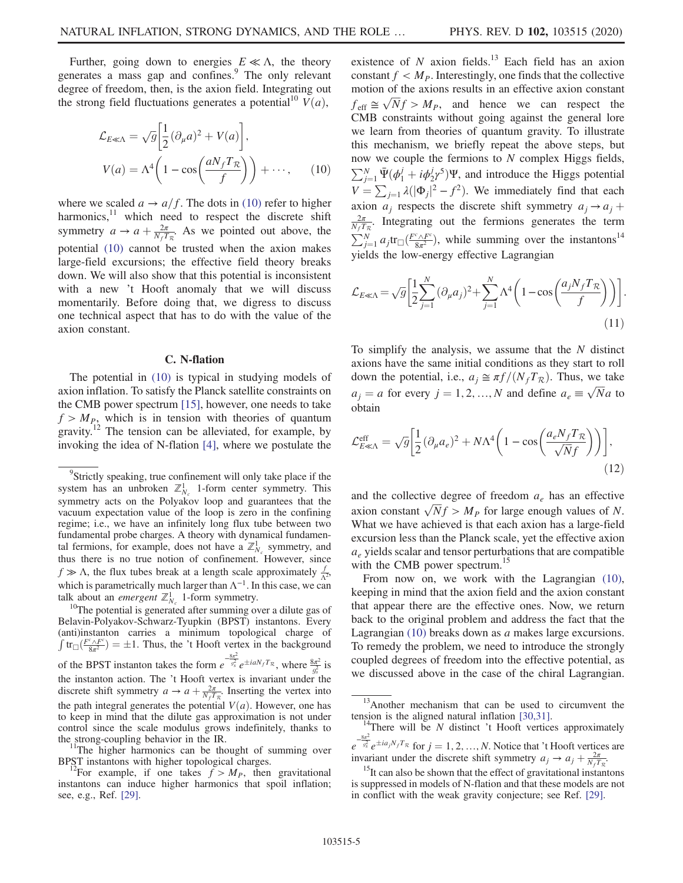<span id="page-5-0"></span>Further, going down to energies  $E \ll \Lambda$ , the theory generates a mass gap and confines.<sup>9</sup> The only relevant degree of freedom, then, is the axion field. Integrating out the strong field fluctuations generates a potential<sup>10</sup>  $V(a)$ ,

$$
\mathcal{L}_{E \ll \Lambda} = \sqrt{g} \left[ \frac{1}{2} (\partial_{\mu} a)^{2} + V(a) \right],
$$
  

$$
V(a) = \Lambda^{4} \left( 1 - \cos \left( \frac{a N_{f} T_{\mathcal{R}}}{f} \right) \right) + \cdots,
$$
 (10)

where we scaled  $a \rightarrow a/f$ . The dots in [\(10\)](#page-5-0) refer to higher harmonics,<sup>11</sup> which need to respect the discrete shift symmetry  $a \to a + \frac{2\pi}{N_f T_R}$ . As we pointed out above, the potential [\(10\)](#page-5-0) cannot be trusted when the axion makes large-field excursions; the effective field theory breaks down. We will also show that this potential is inconsistent with a new 't Hooft anomaly that we will discuss momentarily. Before doing that, we digress to discuss one technical aspect that has to do with the value of the axion constant.

#### C. N-flation

The potential in [\(10\)](#page-5-0) is typical in studying models of axion inflation. To satisfy the Planck satellite constraints on the CMB power spectrum [\[15\],](#page-15-3) however, one needs to take  $f > M_{P_2}$  which is in tension with theories of quantum gravity.<sup>12</sup> The tension can be alleviated, for example, by invoking the idea of N-flation [\[4\],](#page-14-2) where we postulate the

 $10$ <sup>10</sup>The potential is generated after summing over a dilute gas of Belavin-Polyakov-Schwarz-Tyupkin (BPST) instantons. Every (anti)instanton carries a minimum topological charge of  $\int tr_{\square} \left( \frac{F^c \wedge F^c}{8\pi^2} \right) = \pm 1$ . Thus, the 't Hooft vertex in the background of the BPST instanton takes the form  $e^{-\frac{8\pi^2}{g_s^2}}e^{\pm iaN_fT_R}$ , where  $\frac{8\pi^2}{g_s^2}$  is the instanton action. The 't Hooft vertex is invariant under the discrete shift symmetry  $a \to a + \frac{2\pi}{N_f T_R}$ . Inserting the vertex into the path integral generates the potential  $V(a)$ . However, one has to keep in mind that the dilute gas approximation is not under control since the scale modulus grows indefinitely, thanks to the strong-coupling behavior in the IR.  $11$ The higher harmonics can be thought of summing over

BPST instantons with higher topological charges.<br><sup>12</sup>For example, if one takes  $f > M_p$ , then gravitational

instantons can induce higher harmonics that spoil inflation; see, e.g., Ref. [\[29\]](#page-15-11).

existence of  $N$  axion fields.<sup>13</sup> Each field has an axion constant  $f < M_P$ . Interestingly, one finds that the collective motion of the axions results in an effective axion constant  $f_{\text{eff}} \cong \sqrt{N}f > M_p$ , and hence we can respect the CMB constraints without going against the general lore we learn from theories of quantum gravity. To illustrate this mechanism, we briefly repeat the above steps, but now we couple the fermions to N complex Higgs fields,  $\sum_{j=1}^{N} \bar{\Psi}(\phi_1^j + i \phi_2^j \phi^5) \Psi$ , and introduce the Higgs potential  $V = \sum_{j=1} \lambda (|\Phi_j|^2 - f^2)$ . We immediately find that each axion  $a_i$  respects the discrete shift symmetry  $a_i \rightarrow a_i +$  $\frac{2\pi}{N_f T_R}$ . Integrating out the fermions generates the term  $\sum_{j=1}^{N} a_j \text{tr}_{\square} \left( \frac{F^c \wedge F^c}{8\pi^2} \right)$ , while summing over the instantons<sup>14</sup> yields the low-energy effective Lagrangian

$$
\mathcal{L}_{E \ll \Lambda} = \sqrt{g} \left[ \frac{1}{2} \sum_{j=1}^{N} (\partial_{\mu} a_j)^2 + \sum_{j=1}^{N} \Lambda^4 \left( 1 - \cos \left( \frac{a_j N_f T_R}{f} \right) \right) \right].
$$
\n(11)

To simplify the analysis, we assume that the  $N$  distinct axions have the same initial conditions as they start to roll down the potential, i.e.,  $a_j \approx \pi f/(N_f T_R)$ . Thus, we take  $a_j = a$  for every  $j = 1, 2, ..., N$  and define  $a_e \equiv \sqrt{N}a$  to obtain

$$
\mathcal{L}_{E \ll \Lambda}^{\text{eff}} = \sqrt{g} \left[ \frac{1}{2} (\partial_{\mu} a_e)^2 + N \Lambda^4 \left( 1 - \cos \left( \frac{a_e N_f T_R}{\sqrt{N} f} \right) \right) \right],\tag{12}
$$

and the collective degree of freedom  $a_e$  has an effective axion constant  $\sqrt{N}f > M_P$  for large enough values of N. What we have achieved is that each axion has a large-field excursion less than the Planck scale, yet the effective axion  $a<sub>e</sub>$  yields scalar and tensor perturbations that are compatible with the CMB power spectrum.<sup>15</sup>

From now on, we work with the Lagrangian  $(10)$ , keeping in mind that the axion field and the axion constant that appear there are the effective ones. Now, we return back to the original problem and address the fact that the Lagrangian [\(10\)](#page-5-0) breaks down as a makes large excursions. To remedy the problem, we need to introduce the strongly coupled degrees of freedom into the effective potential, as we discussed above in the case of the chiral Lagrangian.

<sup>&</sup>lt;sup>9</sup>Strictly speaking, true confinement will only take place if the system has an unbroken  $\mathbb{Z}_{N_c}^1$  1-form center symmetry. This symmetry acts on the Polyakov loop and guarantees that the vacuum expectation value of the loop is zero in the confining regime; i.e., we have an infinitely long flux tube between two fundamental probe charges. A theory with dynamical fundamental fermions, for example, does not have a  $\mathbb{Z}_{N_c}^1$  symmetry, and thus there is no true notion of confinement. However, since  $f \gg \Lambda$ , the flux tubes break at a length scale approximately  $\frac{f}{\Lambda^2}$ , which is parametrically much larger than  $\Lambda^{-1}$ . In this case, we can talk about an *emergent*  $\mathbb{Z}_{N_c}^1$  1-form symmetry.

<sup>&</sup>lt;sup>13</sup>Another mechanism that can be used to circumvent the tension is the aligned natural inflation  $[30,31]$ .

<sup>&</sup>lt;sup>14</sup>There will be N distinct 't Hooft vertices approximately  $e^{-\frac{8\pi^2}{g_s^2}}e^{\pm ia_jN_fT_{\mathcal{R}}}$  for  $j=1,2,...,N$ . Notice that 't Hooft vertices are

invariant under the discrete shift symmetry  $a_j \rightarrow a_j + \frac{2\pi}{N_f T_R}$ .

<sup>&</sup>lt;sup>15</sup>It can also be shown that the effect of gravitational instantons is suppressed in models of N-flation and that these models are not in conflict with the weak gravity conjecture; see Ref. [\[29\].](#page-15-11)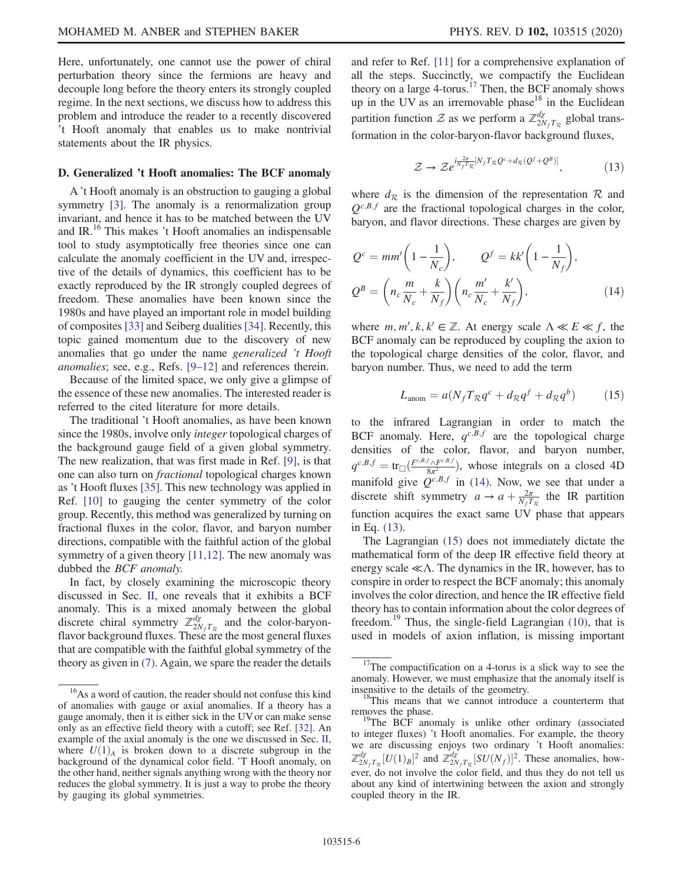Here, unfortunately, one cannot use the power of chiral perturbation theory since the fermions are heavy and decouple long before the theory enters its strongly coupled regime. In the next sections, we discuss how to address this problem and introduce the reader to a recently discovered 't Hooft anomaly that enables us to make nontrivial statements about the IR physics.

### D. Generalized 't Hooft anomalies: The BCF anomaly

A 't Hooft anomaly is an obstruction to gauging a global symmetry [\[3\].](#page-14-1) The anomaly is a renormalization group invariant, and hence it has to be matched between the UV and IR.16 This makes 't Hooft anomalies an indispensable tool to study asymptotically free theories since one can calculate the anomaly coefficient in the UV and, irrespective of the details of dynamics, this coefficient has to be exactly reproduced by the IR strongly coupled degrees of freedom. These anomalies have been known since the 1980s and have played an important role in model building of composites [\[33\]](#page-15-13) and Seiberg dualities [\[34\]](#page-15-14). Recently, this topic gained momentum due to the discovery of new anomalies that go under the name generalized 't Hooft anomalies; see, e.g., Refs. [9–[12\]](#page-15-0) and references therein.

Because of the limited space, we only give a glimpse of the essence of these new anomalies. The interested reader is referred to the cited literature for more details.

The traditional 't Hooft anomalies, as have been known since the 1980s, involve only integer topological charges of the background gauge field of a given global symmetry. The new realization, that was first made in Ref. [\[9\]](#page-15-0), is that one can also turn on fractional topological charges known as 't Hooft fluxes [\[35\]](#page-15-15). This new technology was applied in Ref. [\[10\]](#page-15-16) to gauging the center symmetry of the color group. Recently, this method was generalized by turning on fractional fluxes in the color, flavor, and baryon number directions, compatible with the faithful action of the global symmetry of a given theory [\[11,12\]](#page-15-1). The new anomaly was dubbed the BCF anomaly.

In fact, by closely examining the microscopic theory discussed in Sec. [II,](#page-2-0) one reveals that it exhibits a BCF anomaly. This is a mixed anomaly between the global discrete chiral symmetry  $\mathbb{Z}_{2N_fT_R}^{d\chi}$  and the color-baryonflavor background fluxes. These are the most general fluxes that are compatible with the faithful global symmetry of the theory as given in [\(7\).](#page-4-1) Again, we spare the reader the details and refer to Ref. [\[11\]](#page-15-1) for a comprehensive explanation of all the steps. Succinctly, we compactify the Euclidean theory on a large 4-torus.<sup>17</sup> Then, the BCF anomaly shows up in the UV as an irremovable phase $18$  in the Euclidean partition function  $\mathcal Z$  as we perform a  $\mathbb Z^{d\chi}_{2N_fT_R}$  global transformation in the color-baryon-flavor background fluxes,

$$
\mathcal{Z} \to \mathcal{Z} e^{i\frac{2\pi}{N_f T_R} [N_f T_R \mathcal{Q}^c + d_R (\mathcal{Q}^f + \mathcal{Q}^B)]}, \qquad (13)
$$

<span id="page-6-1"></span><span id="page-6-0"></span>where  $d_{\mathcal{R}}$  is the dimension of the representation  $\mathcal{R}$  and  $Q^{c,B,f}$  are the fractional topological charges in the color, baryon, and flavor directions. These charges are given by

$$
Q^{c} = mm'\left(1 - \frac{1}{N_c}\right), \qquad Q^{f} = kk'\left(1 - \frac{1}{N_f}\right),
$$
  

$$
Q^{B} = \left(n_c \frac{m}{N_c} + \frac{k}{N_f}\right)\left(n_c \frac{m'}{N_c} + \frac{k'}{N_f}\right),
$$
(14)

<span id="page-6-2"></span>where  $m, m', k, k' \in \mathbb{Z}$ . At energy scale  $\Lambda \ll E \ll f$ , the BCF anomaly can be reproduced by coupling the axion to the topological charge densities of the color, flavor, and baryon number. Thus, we need to add the term

$$
L_{\text{anom}} = a(N_f T_{\mathcal{R}} q^c + d_{\mathcal{R}} q^f + d_{\mathcal{R}} q^b) \tag{15}
$$

to the infrared Lagrangian in order to match the BCF anomaly. Here,  $q^{c,B,f}$  are the topological charge densities of the color, flavor, and baryon number,  $q^{c,B,f} = \text{tr}_{\square}(\frac{F^{c,B,f} \wedge F^{c,B,f}}{8\pi^2})$ , whose integrals on a closed 4D manifold give  $Q^{c,B,f}$  in [\(14\).](#page-6-0) Now, we see that under a discrete shift symmetry  $a \to a + \frac{2\pi}{N_f T_R}$  the IR partition function acquires the exact same UV phase that appears in Eq. [\(13\).](#page-6-1)

The Lagrangian [\(15\)](#page-6-2) does not immediately dictate the mathematical form of the deep IR effective field theory at energy scale  $\ll \Lambda$ . The dynamics in the IR, however, has to conspire in order to respect the BCF anomaly; this anomaly involves the color direction, and hence the IR effective field theory has to contain information about the color degrees of freedom.<sup>19</sup> Thus, the single-field Lagrangian  $(10)$ , that is used in models of axion inflation, is missing important

<sup>19</sup>The BCF anomaly is unlike other ordinary (associated to integer fluxes) 't Hooft anomalies. For example, the theory we are discussing enjoys two ordinary 't Hooft anomalies:  $\mathbb{Z}_{2N_fT_{\mathcal{R}}}^{d\chi}[U(1)_B]^2$  and  $\mathbb{Z}_{2N_fT_{\mathcal{R}}}^{d\chi}[SU(N_f)]^2$ . These anomalies, however, do not involve the color field, and thus they do not tell us about any kind of intertwining between the axion and strongly coupled theory in the IR.

<sup>&</sup>lt;sup>16</sup>As a word of caution, the reader should not confuse this kind of anomalies with gauge or axial anomalies. If a theory has a gauge anomaly, then it is either sick in the UV or can make sense only as an effective field theory with a cutoff; see Ref. [\[32\]](#page-15-17). An example of the axial anomaly is the one we discussed in Sec. [II,](#page-2-0) where  $U(1)_{A}$  is broken down to a discrete subgroup in the background of the dynamical color field. 'T Hooft anomaly, on the other hand, neither signals anything wrong with the theory nor reduces the global symmetry. It is just a way to probe the theory by gauging its global symmetries.

 $17$ The compactification on a 4-torus is a slick way to see the anomaly. However, we must emphasize that the anomaly itself is

insensitive to the details of the geometry.<br><sup>18</sup>This means that we cannot introduce a counterterm that removes the phase.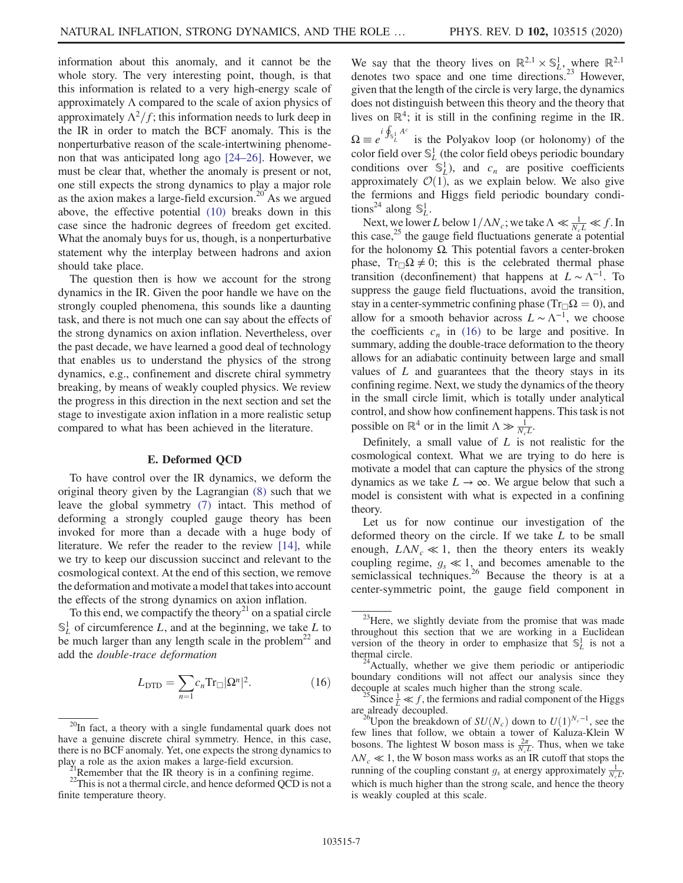information about this anomaly, and it cannot be the whole story. The very interesting point, though, is that this information is related to a very high-energy scale of approximately  $\Lambda$  compared to the scale of axion physics of approximately  $\Lambda^2/f$ ; this information needs to lurk deep in the IR in order to match the BCF anomaly. This is the nonperturbative reason of the scale-intertwining phenomenon that was anticipated long ago [24–[26\].](#page-15-7) However, we must be clear that, whether the anomaly is present or not, one still expects the strong dynamics to play a major role as the axion makes a large-field excursion.<sup>20</sup> As we argued above, the effective potential [\(10\)](#page-5-0) breaks down in this case since the hadronic degrees of freedom get excited. What the anomaly buys for us, though, is a nonperturbative statement why the interplay between hadrons and axion should take place.

The question then is how we account for the strong dynamics in the IR. Given the poor handle we have on the strongly coupled phenomena, this sounds like a daunting task, and there is not much one can say about the effects of the strong dynamics on axion inflation. Nevertheless, over the past decade, we have learned a good deal of technology that enables us to understand the physics of the strong dynamics, e.g., confinement and discrete chiral symmetry breaking, by means of weakly coupled physics. We review the progress in this direction in the next section and set the stage to investigate axion inflation in a more realistic setup compared to what has been achieved in the literature.

## E. Deformed QCD

To have control over the IR dynamics, we deform the original theory given by the Lagrangian [\(8\)](#page-4-2) such that we leave the global symmetry [\(7\)](#page-4-1) intact. This method of deforming a strongly coupled gauge theory has been invoked for more than a decade with a huge body of literature. We refer the reader to the review [\[14\],](#page-15-18) while we try to keep our discussion succinct and relevant to the cosmological context. At the end of this section, we remove the deformation and motivate a model that takes into account the effects of the strong dynamics on axion inflation.

<span id="page-7-0"></span>To this end, we compactify the theory<sup>21</sup> on a spatial circle  $\mathbb{S}^1_L$  of circumference L, and at the beginning, we take L to be much larger than any length scale in the problem<sup>22</sup> and add the double-trace deformation

$$
L_{\text{DTD}} = \sum_{n=1} c_n \text{Tr}_{\square} |\Omega^n|^2. \tag{16}
$$

We say that the theory lives on  $\mathbb{R}^{2,1} \times \mathbb{S}^1_L$ , where  $\mathbb{R}^{2,1}$ denotes two space and one time directions.<sup>23</sup> However, given that the length of the circle is very large, the dynamics does not distinguish between this theory and the theory that lives on  $\mathbb{R}^4$ ; it is still in the confining regime in the IR.  $\Omega \equiv e^{i \oint_{S^1_L} A^c}$  is the Polyakov loop (or holonomy) of the color field over  $\mathbb{S}^1_L$  (the color field obeys periodic boundary conditions over  $\mathbb{S}_L^1$ ), and  $c_n$  are positive coefficients approximately  $\mathcal{O}(1)$ , as we explain below. We also give the fermions and Higgs field periodic boundary condi-

tions<sup>24</sup> along  $\mathbb{S}_L^1$ . Next, we lower L below  $1/\Lambda N_c$ ; we take  $\Lambda \ll \frac{1}{N_cL} \ll f$ . In this case,<sup>25</sup> the gauge field fluctuations generate a potential for the holonomy Ω. This potential favors a center-broken phase,  $Tr_{\Box}\Omega \neq 0$ ; this is the celebrated thermal phase transition (deconfinement) that happens at  $L \sim \Lambda^{-1}$ . To suppress the gauge field fluctuations, avoid the transition, stay in a center-symmetric confining phase ( $Tr_{\Box}\Omega = 0$ ), and allow for a smooth behavior across  $L \sim \Lambda^{-1}$ , we choose the coefficients  $c_n$  in [\(16\)](#page-7-0) to be large and positive. In summary, adding the double-trace deformation to the theory allows for an adiabatic continuity between large and small values of  $L$  and guarantees that the theory stays in its confining regime. Next, we study the dynamics of the theory in the small circle limit, which is totally under analytical control, and show how confinement happens. This task is not possible on  $\mathbb{R}^4$  or in the limit  $\Lambda \gg \frac{1}{N_c L}$ .

Definitely, a small value of  $L$  is not realistic for the cosmological context. What we are trying to do here is motivate a model that can capture the physics of the strong dynamics as we take  $L \to \infty$ . We argue below that such a model is consistent with what is expected in a confining theory.

Let us for now continue our investigation of the deformed theory on the circle. If we take L to be small enough,  $L\Lambda N_c \ll 1$ , then the theory enters its weakly coupling regime,  $g_s \ll 1$ , and becomes amenable to the semiclassical techniques.<sup>26</sup> Because the theory is at a center-symmetric point, the gauge field component in

 $^{20}$ In fact, a theory with a single fundamental quark does not have a genuine discrete chiral symmetry. Hence, in this case, there is no BCF anomaly. Yet, one expects the strong dynamics to play a role as the axion makes a large-field excursion.

<sup>&</sup>lt;sup>21</sup>Remember that the IR theory is in a confining regime. <sup>22</sup>This is not a thermal circle, and hence deformed QCD is not a finite temperature theory.

 $^{23}$ Here, we slightly deviate from the promise that was made throughout this section that we are working in a Euclidean version of the theory in order to emphasize that  $\mathbb{S}^1$  is not a thermal circle.<br><sup>24</sup>Actually, whether we give them periodic or antiperiodic

boundary conditions will not affect our analysis since they

decouple at scales much higher than the strong scale.<br><sup>25</sup>Since  $\frac{1}{L} \ll f$ , the fermions and radial component of the Higgs

are already decoupled. 26Upon the breakdown of  $SU(N_c)$  down to  $U(1)^{N_c-1}$ , see the few lines that follow, we obtain a tower of Kaluza-Klein W bosons. The lightest W boson mass is  $\frac{2\pi}{N_c L}$ . Thus, when we take  $\Delta N_c \ll 1$ , the W boson mass works as an IR cutoff that stops the running of the coupling constant  $g_s$  at energy approximately  $\frac{1}{N_c L}$ , which is much higher than the strong scale, and hence the theory is weakly coupled at this scale.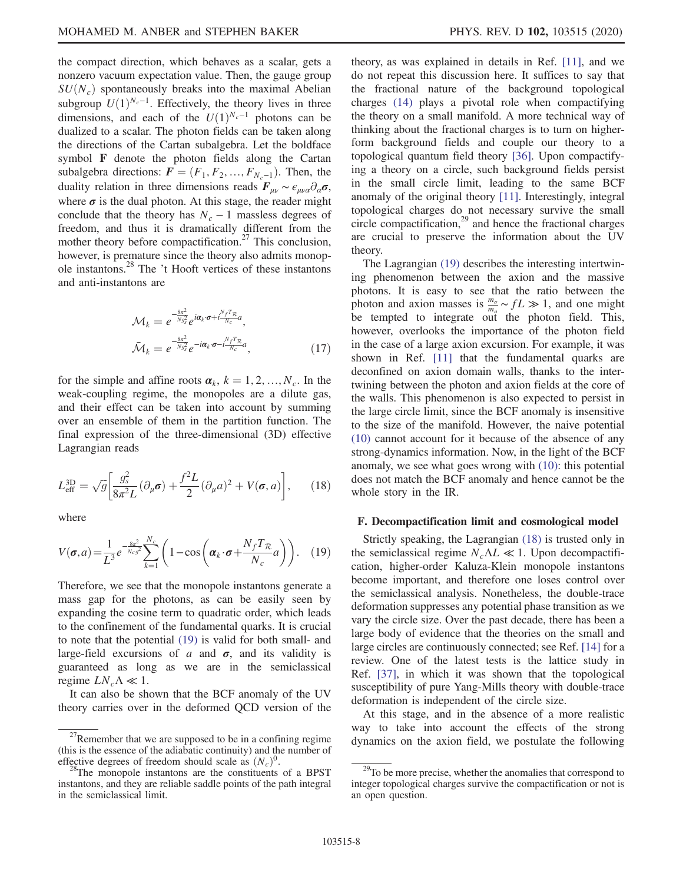the compact direction, which behaves as a scalar, gets a nonzero vacuum expectation value. Then, the gauge group  $SU(N_c)$  spontaneously breaks into the maximal Abelian subgroup  $U(1)^{N_c-1}$ . Effectively, the theory lives in three dimensions, and each of the  $U(1)^{N_c-1}$  photons can be dualized to a scalar. The photon fields can be taken along the directions of the Cartan subalgebra. Let the boldface symbol F denote the photon fields along the Cartan subalgebra directions:  $F = (F_1, F_2, ..., F_{N-1})$ . Then, the duality relation in three dimensions reads  $\mathbf{F}_{\mu\nu} \sim \epsilon_{\mu\nu\alpha} \partial_{\alpha} \sigma$ , where  $\sigma$  is the dual photon. At this stage, the reader might conclude that the theory has  $N_c - 1$  massless degrees of freedom, and thus it is dramatically different from the mother theory before compactification.<sup>27</sup> This conclusion, however, is premature since the theory also admits monopole instantons.28 The 't Hooft vertices of these instantons and anti-instantons are

$$
\mathcal{M}_k = e^{-\frac{8\pi^2}{Ng_s^2}} e^{i\alpha_k \cdot \sigma + i\frac{N_f T_{\mathcal{R}}}{N_c} a},
$$
  

$$
\bar{\mathcal{M}}_k = e^{-\frac{8\pi^2}{Ng_s^2}} e^{-i\alpha_k \cdot \sigma - i\frac{N_f T_{\mathcal{R}}}{N_c} a},
$$
(17)

for the simple and affine roots  $\boldsymbol{\alpha}_k$ ,  $k = 1, 2, ..., N_c$ . In the weak-coupling regime, the monopoles are a dilute gas, and their effect can be taken into account by summing over an ensemble of them in the partition function. The final expression of the three-dimensional (3D) effective Lagrangian reads

<span id="page-8-1"></span>
$$
L_{\text{eff}}^{\text{3D}} = \sqrt{g} \left[ \frac{g_s^2}{8\pi^2 L} (\partial_\mu \boldsymbol{\sigma}) + \frac{f^2 L}{2} (\partial_\mu a)^2 + V(\boldsymbol{\sigma}, a) \right], \qquad (18)
$$

<span id="page-8-0"></span>where

$$
V(\boldsymbol{\sigma}, a) = \frac{1}{L^3} e^{-\frac{8\pi^2}{N_c g^2}} \sum_{k=1}^{N_c} \left( 1 - \cos\left(\boldsymbol{\alpha}_k \cdot \boldsymbol{\sigma} + \frac{N_f T_{\mathcal{R}}}{N_c} a\right) \right). \quad (19)
$$

Therefore, we see that the monopole instantons generate a mass gap for the photons, as can be easily seen by expanding the cosine term to quadratic order, which leads to the confinement of the fundamental quarks. It is crucial to note that the potential [\(19\)](#page-8-0) is valid for both small- and large-field excursions of a and  $\sigma$ , and its validity is guaranteed as long as we are in the semiclassical regime  $LN_c\Lambda \ll 1$ .

It can also be shown that the BCF anomaly of the UV theory carries over in the deformed QCD version of the theory, as was explained in details in Ref. [\[11\]](#page-15-1), and we do not repeat this discussion here. It suffices to say that the fractional nature of the background topological charges [\(14\)](#page-6-0) plays a pivotal role when compactifying the theory on a small manifold. A more technical way of thinking about the fractional charges is to turn on higherform background fields and couple our theory to a topological quantum field theory [\[36\]](#page-15-19). Upon compactifying a theory on a circle, such background fields persist in the small circle limit, leading to the same BCF anomaly of the original theory [\[11\].](#page-15-1) Interestingly, integral topological charges do not necessary survive the small circle compactification, $29$  and hence the fractional charges are crucial to preserve the information about the UV theory.

The Lagrangian [\(19\)](#page-8-0) describes the interesting intertwining phenomenon between the axion and the massive photons. It is easy to see that the ratio between the photon and axion masses is  $\frac{m_{\sigma}}{m_a} \sim f L \gg 1$ , and one might be tempted to integrate out the photon field. This, however, overlooks the importance of the photon field in the case of a large axion excursion. For example, it was shown in Ref. [\[11\]](#page-15-1) that the fundamental quarks are deconfined on axion domain walls, thanks to the intertwining between the photon and axion fields at the core of the walls. This phenomenon is also expected to persist in the large circle limit, since the BCF anomaly is insensitive to the size of the manifold. However, the naive potential [\(10\)](#page-5-0) cannot account for it because of the absence of any strong-dynamics information. Now, in the light of the BCF anomaly, we see what goes wrong with [\(10\)](#page-5-0): this potential does not match the BCF anomaly and hence cannot be the whole story in the IR.

### F. Decompactification limit and cosmological model

Strictly speaking, the Lagrangian [\(18\)](#page-8-1) is trusted only in the semiclassical regime  $N_c \Lambda L \ll 1$ . Upon decompactification, higher-order Kaluza-Klein monopole instantons become important, and therefore one loses control over the semiclassical analysis. Nonetheless, the double-trace deformation suppresses any potential phase transition as we vary the circle size. Over the past decade, there has been a large body of evidence that the theories on the small and large circles are continuously connected; see Ref. [\[14\]](#page-15-18) for a review. One of the latest tests is the lattice study in Ref. [\[37\]](#page-15-20), in which it was shown that the topological susceptibility of pure Yang-Mills theory with double-trace deformation is independent of the circle size.

At this stage, and in the absence of a more realistic way to take into account the effects of the strong  $^{27}$ Remember that we are supposed to be in a confining regime dynamics on the axion field, we postulate the following

<sup>(</sup>this is the essence of the adiabatic continuity) and the number of

effective degrees of freedom should scale as  $(N_c)^0$ . <sup>28</sup>The monopole instantons are the constituents of a BPST instantons, and they are reliable saddle points of the path integral in the semiclassical limit.

<sup>&</sup>lt;sup>29</sup>To be more precise, whether the anomalies that correspond to integer topological charges survive the compactification or not is an open question.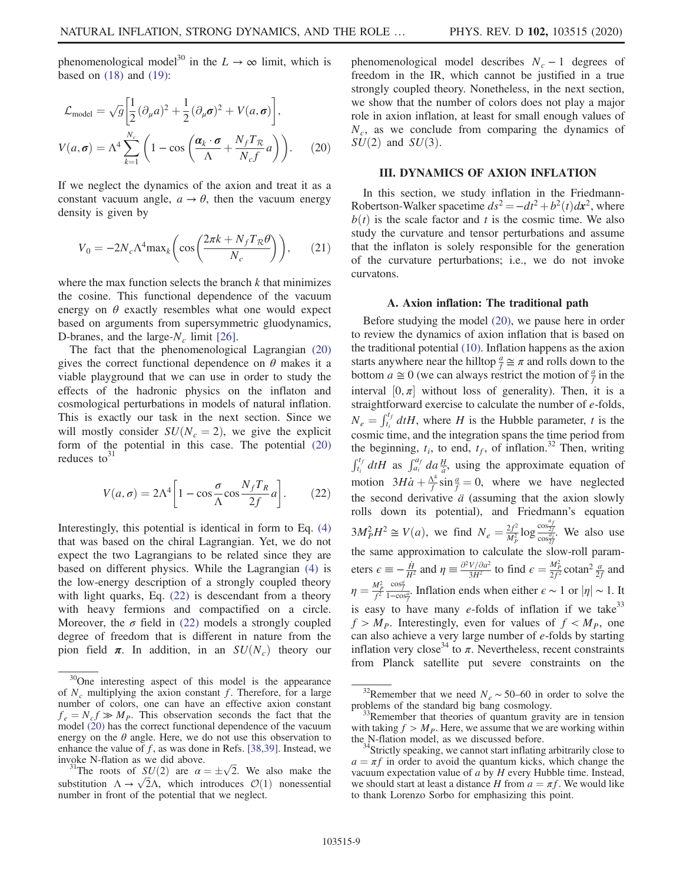<span id="page-9-1"></span>phenomenological model<sup>30</sup> in the  $L \rightarrow \infty$  limit, which is based on [\(18\)](#page-8-1) and [\(19\)](#page-8-0):

$$
\mathcal{L}_{\text{model}} = \sqrt{g} \left[ \frac{1}{2} (\partial_{\mu} a)^2 + \frac{1}{2} (\partial_{\mu} \sigma)^2 + V(a, \sigma) \right],
$$
  

$$
V(a, \sigma) = \Lambda^4 \sum_{k=1}^{N_c} \left( 1 - \cos \left( \frac{\alpha_k \cdot \sigma}{\Lambda} + \frac{N_f T_{\mathcal{R}}}{N_c f} a \right) \right).
$$
 (20)

If we neglect the dynamics of the axion and treat it as a constant vacuum angle,  $a \rightarrow \theta$ , then the vacuum energy density is given by

$$
V_0 = -2N_c \Lambda^4 \text{max}_k \left( \cos \left( \frac{2\pi k + N_f T_R \theta}{N_c} \right) \right), \qquad (21)
$$

where the max function selects the branch  $k$  that minimizes the cosine. This functional dependence of the vacuum energy on  $\theta$  exactly resembles what one would expect based on arguments from supersymmetric gluodynamics, D-branes, and the large- $N_c$  limit [\[26\]](#page-15-21).

The fact that the phenomenological Lagrangian [\(20\)](#page-9-1) gives the correct functional dependence on  $\theta$  makes it a viable playground that we can use in order to study the effects of the hadronic physics on the inflaton and cosmological perturbations in models of natural inflation. This is exactly our task in the next section. Since we will mostly consider  $SU(N_c = 2)$ , we give the explicit form of the potential in this case. The potential [\(20\)](#page-9-1) reduces to $31$ 

<span id="page-9-2"></span>
$$
V(a,\sigma) = 2\Lambda^4 \left[ 1 - \cos\frac{\sigma}{\Lambda}\cos\frac{N_f T_R}{2f} a \right].
$$
 (22)

Interestingly, this potential is identical in form to Eq. [\(4\)](#page-3-0) that was based on the chiral Lagrangian. Yet, we do not expect the two Lagrangians to be related since they are based on different physics. While the Lagrangian [\(4\)](#page-3-0) is the low-energy description of a strongly coupled theory with light quarks, Eq. [\(22\)](#page-9-2) is descendant from a theory with heavy fermions and compactified on a circle. Moreover, the  $\sigma$  field in [\(22\)](#page-9-2) models a strongly coupled degree of freedom that is different in nature from the pion field  $\pi$ . In addition, in an  $SU(N_c)$  theory our phenomenological model describes  $N_c - 1$  degrees of freedom in the IR, which cannot be justified in a true strongly coupled theory. Nonetheless, in the next section, we show that the number of colors does not play a major role in axion inflation, at least for small enough values of  $N_c$ , as we conclude from comparing the dynamics of  $SU(2)$  and  $SU(3)$ .

### <span id="page-9-0"></span>III. DYNAMICS OF AXION INFLATION

In this section, we study inflation in the Friedmann-Robertson-Walker spacetime  $ds^2 = -dt^2 + b^2(t)dx^2$ , where  $b(t)$  is the scale factor and t is the cosmic time. We also study the curvature and tensor perturbations and assume that the inflaton is solely responsible for the generation of the curvature perturbations; i.e., we do not invoke curvatons.

### A. Axion inflation: The traditional path

Before studying the model [\(20\)](#page-9-1), we pause here in order to review the dynamics of axion inflation that is based on the traditional potential [\(10\).](#page-5-0) Inflation happens as the axion starts anywhere near the hilltop  $\frac{a}{f} \cong \pi$  and rolls down to the bottom  $a \approx 0$  (we can always restrict the motion of  $\frac{a}{f}$  in the interval  $[0, \pi]$  without loss of generality). Then, it is a straightforward exercise to calculate the number of e-folds,  $N_e = \int_{t_i}^{t_f} dtH$ , where H is the Hubble parameter, t is the cosmic time, and the integration spans the time period from the beginning,  $t_i$ , to end,  $t_f$ , of inflation.<sup>32</sup> Then, writing  $\int_{t_i}^{t_f} dtH$  as  $\int_{a_i}^{a_f} da \frac{H}{a}$ , using the approximate equation of motion  $3H\dot{a} + \frac{\Lambda^4}{f} \sin{\frac{a}{f}} = 0$ , where we have neglected the second derivative  $\ddot{a}$  (assuming that the axion slowly rolls down its potential), and Friedmann's equation  $3M_P^2 H^2 \cong V(a)$ , we find  $N_e = \frac{2f^2}{M_P^2} \log \frac{\cos \frac{af}{2f}}{\cos \frac{af}{2f}}$ . We also use the same approximation to calculate the slow-roll parameters  $\epsilon \equiv -\frac{\dot{H}}{H^2}$  and  $\eta \equiv \frac{\partial^2 V/\partial a^2}{\partial H^2}$  to find  $\epsilon = \frac{M_P^2}{2f^2}$  cotan<sup>2</sup>  $\frac{a}{2f}$  and  $\eta = \frac{M_P^2}{f^2}$  $rac{\cos{\frac{\theta}{f}}}{1-\cos{\frac{\theta}{f}}}$ . Inflation ends when either  $\epsilon \sim 1$  or  $|\eta| \sim 1$ . It is easy to have many  $e$ -folds of inflation if we take<sup>33</sup>  $f > M<sub>P</sub>$ . Interestingly, even for values of  $f < M<sub>P</sub>$ , one can also achieve a very large number of e-folds by starting inflation very close<sup>34</sup> to  $\pi$ . Nevertheless, recent constraints from Planck satellite put severe constraints on the

 $30$ One interesting aspect of this model is the appearance of  $N_c$  multiplying the axion constant f. Therefore, for a large number of colors, one can have an effective axion constant  $f_e = N_c f \gg M_p$ . This observation seconds the fact that the model [\(20\)](#page-9-1) has the correct functional dependence of the vacuum energy on the  $\theta$  angle. Here, we do not use this observation to enhance the value of  $f$ , as was done in Refs. [\[38,39\]](#page-15-22). Instead, we invoke N-flation as we did above.

invoke N-flation as we did above.<br><sup>31</sup>The roots of  $SU(2)$  are  $\alpha = \pm \sqrt{2}$ . We also make the substitution  $\Lambda \to \sqrt{2}\Lambda$ , which introduces  $\mathcal{O}(1)$  nonessential number in front of the potential that we neglect.

<sup>&</sup>lt;sup>32</sup>Remember that we need  $N_e \sim 50-60$  in order to solve the problems of the standard big bang cosmology.

Remember that theories of quantum gravity are in tension with taking  $f > M_P$ . Here, we assume that we are working within the N-flation model, as we discussed before.

<sup>&</sup>lt;sup>4</sup>Strictly speaking, we cannot start inflating arbitrarily close to  $a = \pi f$  in order to avoid the quantum kicks, which change the vacuum expectation value of  $\vec{a}$  by  $H$  every Hubble time. Instead, we should start at least a distance H from  $a = \pi f$ . We would like to thank Lorenzo Sorbo for emphasizing this point.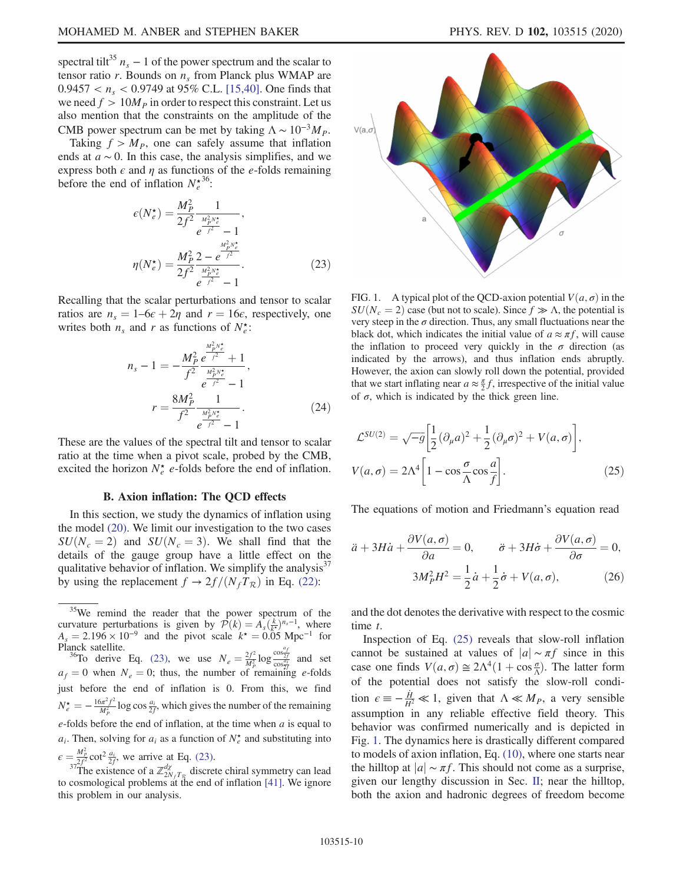spectral tilt<sup>35</sup>  $n_s - 1$  of the power spectrum and the scalar to tensor ratio r. Bounds on  $n_s$  from Planck plus WMAP are  $0.9457 < n_s < 0.9749$  at 95% C.L. [\[15,40\].](#page-15-3) One finds that we need  $f > 10M<sub>P</sub>$  in order to respect this constraint. Let us also mention that the constraints on the amplitude of the CMB power spectrum can be met by taking  $\Lambda \sim 10^{-3} M_P$ .

<span id="page-10-2"></span>Taking  $f > M_p$ , one can safely assume that inflation ends at  $a \sim 0$ . In this case, the analysis simplifies, and we express both  $\epsilon$  and  $\eta$  as functions of the e-folds remaining before the end of inflation  $N_e^{\star 36}$ :

$$
\epsilon(N_e^{\star}) = \frac{M_P^2}{2f^2} \frac{1}{e^{\frac{M_P^2 N_e^{\star}}{f^2}} - 1},
$$
  

$$
\eta(N_e^{\star}) = \frac{M_P^2}{2f^2} \frac{2 - e^{\frac{M_P^2 N_e^{\star}}{f^2}}}{e^{\frac{M_P^2 N_e^{\star}}{f^2}} - 1}.
$$
 (23)

<span id="page-10-4"></span>Recalling that the scalar perturbations and tensor to scalar ratios are  $n_s = 1-6\epsilon + 2\eta$  and  $r = 16\epsilon$ , respectively, one writes both  $n_s$  and r as functions of  $N_e^*$ :

$$
n_{s} - 1 = -\frac{M_{P}^{2}}{f^{2}} \frac{e^{\frac{M_{P}^{2}N_{e}^{*}}{f^{2}}}}{e^{\frac{M_{P}^{2}N_{e}^{*}}{f^{2}}}} - 1,
$$

$$
r = \frac{8M_{P}^{2}}{f^{2}} \frac{1}{e^{\frac{M_{P}^{2}N_{e}^{*}}{f^{2}}}}.
$$
(24)

These are the values of the spectral tilt and tensor to scalar ratio at the time when a pivot scale, probed by the CMB, excited the horizon  $N_e^*$  e-folds before the end of inflation.

### B. Axion inflation: The QCD effects

In this section, we study the dynamics of inflation using the model [\(20\).](#page-9-1) We limit our investigation to the two cases  $SU(N_c = 2)$  and  $SU(N_c = 3)$ . We shall find that the details of the gauge group have a little effect on the qualitative behavior of inflation. We simplify the analysis<sup>37</sup> by using the replacement  $f \rightarrow 2f/(N_f T_R)$  in Eq. [\(22\):](#page-9-2)

Planck satellite.<br><sup>36</sup>To derive Eq. [\(23\)](#page-10-2), we use  $N_e = \frac{2f^2}{M_p^2} \log \frac{\cos \frac{af}{2f}}{\cos \frac{af}{2f}}$  and set  $a_f = 0$  when  $N_e = 0$ ; thus, the number of remaining e-folds just before the end of inflation is 0. From this, we find  $N_e^* = -\frac{16\pi^2 f^2}{M_p^2} \log \cos \frac{a_i}{2f}$ , which gives the number of the remaining  $e$ -folds before the end of inflation, at the time when  $a$  is equal to  $a_i$ . Then, solving for  $a_i$  as a function of  $N_e^*$  and substituting into  $\epsilon = \frac{M_p^2}{2f^2} \cot^2 \frac{a_i}{2f}$ 

 $\frac{2\pi}{32f^2} \cot^2 \frac{a_i}{2f}$ , we arrive at Eq. [\(23\).](#page-10-2)<br><sup>37</sup>The existence of a  $\mathbb{Z}_{2N_fT_g}^{d\chi}$  discrete chiral symmetry can lead to cosmological problems at the end of inflation [\[41\].](#page-15-23) We ignore this problem in our analysis.

<span id="page-10-1"></span>

FIG. 1. A typical plot of the QCD-axion potential  $V(a, \sigma)$  in the  $SU(N_c = 2)$  case (but not to scale). Since  $f \gg \Lambda$ , the potential is very steep in the  $\sigma$  direction. Thus, any small fluctuations near the black dot, which indicates the initial value of  $a \approx \pi f$ , will cause the inflation to proceed very quickly in the  $\sigma$  direction (as indicated by the arrows), and thus inflation ends abruptly. However, the axion can slowly roll down the potential, provided that we start inflating near  $a \approx \frac{\pi}{2}f$ , irrespective of the initial value of  $σ$ , which is indicated by the thick green line.

$$
\mathcal{L}^{SU(2)} = \sqrt{-g} \left[ \frac{1}{2} (\partial_{\mu} a)^2 + \frac{1}{2} (\partial_{\mu} \sigma)^2 + V(a, \sigma) \right],
$$
  

$$
V(a, \sigma) = 2\Lambda^4 \left[ 1 - \cos \frac{\sigma}{\Lambda} \cos \frac{a}{f} \right].
$$
 (25)

<span id="page-10-3"></span>The equations of motion and Friedmann's equation read

$$
\ddot{a} + 3H\dot{a} + \frac{\partial V(a,\sigma)}{\partial a} = 0, \qquad \ddot{\sigma} + 3H\dot{\sigma} + \frac{\partial V(a,\sigma)}{\partial \sigma} = 0,
$$

$$
3M_P^2 H^2 = \frac{1}{2}\dot{a} + \frac{1}{2}\dot{\sigma} + V(a,\sigma), \qquad (26)
$$

and the dot denotes the derivative with respect to the cosmic time t.

Inspection of Eq. [\(25\)](#page-10-0) reveals that slow-roll inflation cannot be sustained at values of  $|a| \sim \pi f$  since in this case one finds  $V(a, \sigma) \cong 2\Lambda^4 (1 + \cos \frac{\sigma}{\Lambda})$ . The latter form of the potential does not satisfy the slow-roll condition  $\epsilon \equiv -\frac{\dot{H}}{H^2} \ll 1$ , given that  $\Lambda \ll M_P$ , a very sensible assumption in any reliable effective field theory. This behavior was confirmed numerically and is depicted in Fig. [1](#page-10-1). The dynamics here is drastically different compared to models of axion inflation, Eq. [\(10\)](#page-5-0), where one starts near the hilltop at  $|a| \sim \pi f$ . This should not come as a surprise, given our lengthy discussion in Sec. [II](#page-2-0); near the hilltop, both the axion and hadronic degrees of freedom become

<span id="page-10-0"></span><sup>&</sup>lt;sup>35</sup>We remind the reader that the power spectrum of the curvature perturbations is given by  $\mathcal{P}(k) = A_s(\frac{k}{k^*})^{n_s-1}$ , where  $A_s = 2.196 \times 10^{-9}$  and the pivot scale  $k^* = 0.05$  Mpc<sup>-1</sup> for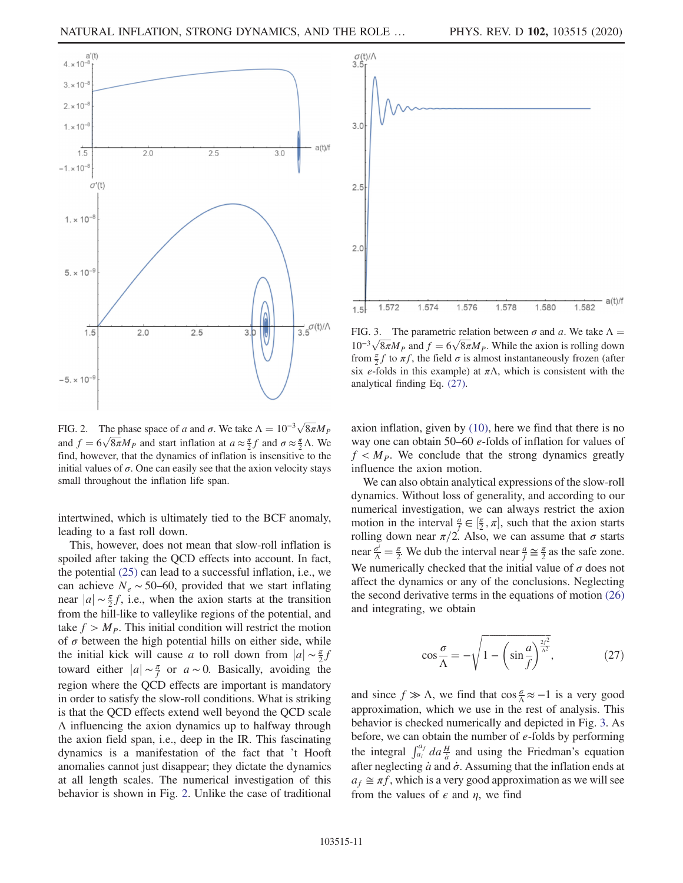<span id="page-11-0"></span>

FIG. 2. The phase space of a and  $\sigma$ . We take  $\Lambda = 10^{-3} \sqrt{8\pi} M_p$ and  $f = 6\sqrt{8\pi}M_P$  and start inflation at  $a \approx \frac{\pi}{2}f$  and  $\sigma \approx \frac{\pi}{2}\Lambda$ . We find, however, that the dynamics of inflation is insensitive to the initial values of  $\sigma$ . One can easily see that the axion velocity stays small throughout the inflation life span.

intertwined, which is ultimately tied to the BCF anomaly, leading to a fast roll down.

This, however, does not mean that slow-roll inflation is spoiled after taking the QCD effects into account. In fact, the potential [\(25\)](#page-10-0) can lead to a successful inflation, i.e., we can achieve  $N_e \sim 50$ –60, provided that we start inflating near  $|a| \sim \frac{\pi}{2} f$ , i.e., when the axion starts at the transition from the hill-like to valleylike regions of the potential, and take  $f > M<sub>P</sub>$ . This initial condition will restrict the motion of  $\sigma$  between the high potential hills on either side, while the initial kick will cause a to roll down from  $|a| \sim \frac{\pi}{2}f$ toward either  $|a| \sim \frac{\pi}{f}$  or  $a \sim 0$ . Basically, avoiding the region where the QCD effects are important is mandatory in order to satisfy the slow-roll conditions. What is striking is that the QCD effects extend well beyond the QCD scale Λ influencing the axion dynamics up to halfway through the axion field span, i.e., deep in the IR. This fascinating dynamics is a manifestation of the fact that 't Hooft anomalies cannot just disappear; they dictate the dynamics at all length scales. The numerical investigation of this behavior is shown in Fig. [2](#page-11-0). Unlike the case of traditional

<span id="page-11-1"></span>

FIG. 3. The parametric relation between  $\sigma$  and a. We take  $\Lambda =$  $10^{-3} \sqrt{8\pi} M_P$  and  $f = 6\sqrt{8\pi} M_P$ . While the axion is rolling down from  $\frac{\pi}{2}f$  to  $\pi f$ , the field  $\sigma$  is almost instantaneously frozen (after six e-folds in this example) at  $\pi\Lambda$ , which is consistent with the analytical finding Eq. [\(27\)](#page-11-2).

axion inflation, given by [\(10\),](#page-5-0) here we find that there is no way one can obtain 50–60 e-folds of inflation for values of  $f < M<sub>P</sub>$ . We conclude that the strong dynamics greatly influence the axion motion.

We can also obtain analytical expressions of the slow-roll dynamics. Without loss of generality, and according to our numerical investigation, we can always restrict the axion motion in the interval  $\frac{a}{f} \in [\frac{\pi}{2}, \pi]$ , such that the axion starts rolling down near  $\pi/2$ . Also, we can assume that  $\sigma$  starts near  $\frac{\sigma^i}{\Lambda} = \frac{\pi}{2}$ . We dub the interval near  $\frac{\alpha}{f} \cong \frac{\pi}{2}$  as the safe zone. We numerically checked that the initial value of  $\sigma$  does not affect the dynamics or any of the conclusions. Neglecting the second derivative terms in the equations of motion [\(26\)](#page-10-3) and integrating, we obtain

<span id="page-11-2"></span>
$$
\cos\frac{\sigma}{\Lambda} = -\sqrt{1 - \left(\sin\frac{a}{f}\right)^{\frac{2f^2}{\Lambda^2}}},\tag{27}
$$

<span id="page-11-3"></span>and since  $f \gg \Lambda$ , we find that  $\cos \frac{\sigma}{\Lambda} \approx -1$  is a very good approximation, which we use in the rest of analysis. This behavior is checked numerically and depicted in Fig. [3](#page-11-1). As before, we can obtain the number of e-folds by performing the integral  $\int_{a_i}^{a_f} da \frac{H}{a}$  and using the Friedman's equation after neglecting  $\dot{a}$  and  $\dot{\sigma}$ . Assuming that the inflation ends at  $a_f \cong \pi f$ , which is a very good approximation as we will see from the values of  $\epsilon$  and  $\eta$ , we find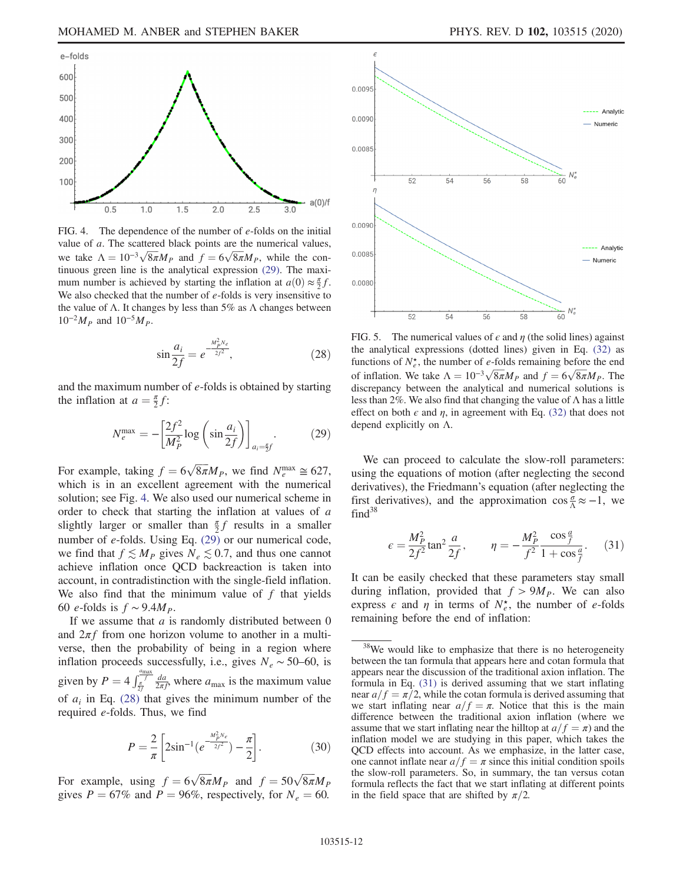<span id="page-12-0"></span>

FIG. 4. The dependence of the number of *e*-folds on the initial value of  $a$ . The scattered black points are the numerical values, we take  $\Lambda = 10^{-3} \sqrt{8\pi} M_P$  and  $f = 6\sqrt{8\pi} M_P$ , while the continuous green line is the analytical expression [\(29\).](#page-12-1) The maximum number is achieved by starting the inflation at  $a(0) \approx \frac{\pi}{2} f$ . We also checked that the number of  $e$ -folds is very insensitive to the value of Λ. It changes by less than  $5\%$  as Λ changes between  $10^{-2}M_P$  and  $10^{-5}M_P$ .

$$
\sin \frac{a_i}{2f} = e^{-\frac{M_p^2 N_e}{2f^2}},\tag{28}
$$

<span id="page-12-1"></span>and the maximum number of e-folds is obtained by starting the inflation at  $a = \frac{\pi}{2}f$ :

$$
N_e^{\max} = -\left[\frac{2f^2}{M_P^2} \log\left(\sin\frac{a_i}{2f}\right)\right]_{a_i = \frac{\pi}{2}f}.\tag{29}
$$

For example, taking  $f = 6\sqrt{8\pi}M_p$ , we find  $N_e^{\text{max}} \approx 627$ , which is in an excellent agreement with the numerical solution; see Fig. [4](#page-12-0). We also used our numerical scheme in order to check that starting the inflation at values of a slightly larger or smaller than  $\frac{\pi}{2}f$  results in a smaller number of e-folds. Using Eq. [\(29\)](#page-12-1) or our numerical code, we find that  $f \lesssim M_P$  gives  $N_e \lesssim 0.7$ , and thus one cannot achieve inflation once QCD backreaction is taken into account, in contradistinction with the single-field inflation. We also find that the minimum value of  $f$  that yields 60 e-folds is  $f \sim 9.4 M_p$ .

If we assume that  $a$  is randomly distributed between  $0$ and  $2\pi f$  from one horizon volume to another in a multiverse, then the probability of being in a region where inflation proceeds successfully, i.e., gives  $N_e \sim 50$ –60, is given by  $P = 4 \int_{\frac{\pi}{2f}}^{\frac{a_{\text{max}}}{f}}$  $\frac{da}{2\pi f}$ , where  $a_{\text{max}}$  is the maximum value of  $a_i$  in Eq. [\(28\)](#page-11-3) that gives the minimum number of the required e-folds. Thus, we find

$$
P = \frac{2}{\pi} \left[ 2\sin^{-1}\left(e^{-\frac{M_p^2 N_e}{2f^2}}\right) - \frac{\pi}{2}\right].
$$
 (30)

For example, using  $f = 6\sqrt{8\pi}M_p$  and  $f = 50\sqrt{8\pi}M_p$ gives  $P = 67\%$  and  $P = 96\%$ , respectively, for  $N_e = 60$ .

<span id="page-12-4"></span>

FIG. 5. The numerical values of  $\epsilon$  and  $\eta$  (the solid lines) against the analytical expressions (dotted lines) given in Eq. [\(32\)](#page-12-2) as functions of  $N_e^*$ , the number of *e*-folds remaining before the end of inflation. We take  $\Lambda = 10^{-3} \sqrt{8\pi} M_P$  and  $f = 6\sqrt{8\pi} M_P$ . The discrepancy between the analytical and numerical solutions is less than 2%. We also find that changing the value of  $\Lambda$  has a little effect on both  $\epsilon$  and  $\eta$ , in agreement with Eq. [\(32\)](#page-12-2) that does not depend explicitly on Λ.

We can proceed to calculate the slow-roll parameters: using the equations of motion (after neglecting the second derivatives), the Friedmann's equation (after neglecting the first derivatives), and the approximation  $\cos \frac{\sigma}{\Lambda} \approx -1$ , we  $find<sup>38</sup>$ 

<span id="page-12-3"></span>
$$
\epsilon = \frac{M_P^2}{2f^2} \tan^2 \frac{a}{2f}, \qquad \eta = -\frac{M_P^2}{f^2} \frac{\cos \frac{a}{f}}{1 + \cos \frac{a}{f}}.
$$
 (31)

<span id="page-12-2"></span>It can be easily checked that these parameters stay small during inflation, provided that  $f > 9M_p$ . We can also express  $\epsilon$  and  $\eta$  in terms of  $N_e^*$ , the number of e-folds remaining before the end of inflation:

 $38$ We would like to emphasize that there is no heterogeneity between the tan formula that appears here and cotan formula that appears near the discussion of the traditional axion inflation. The formula in Eq. [\(31\)](#page-12-3) is derived assuming that we start inflating near  $a/f = \pi/2$ , while the cotan formula is derived assuming that we start inflating near  $a/f = \pi$ . Notice that this is the main difference between the traditional axion inflation (where we assume that we start inflating near the hilltop at  $a/f = \pi$ ) and the inflation model we are studying in this paper, which takes the QCD effects into account. As we emphasize, in the latter case, one cannot inflate near  $a/f = \pi$  since this initial condition spoils the slow-roll parameters. So, in summary, the tan versus cotan formula reflects the fact that we start inflating at different points in the field space that are shifted by  $\pi/2$ .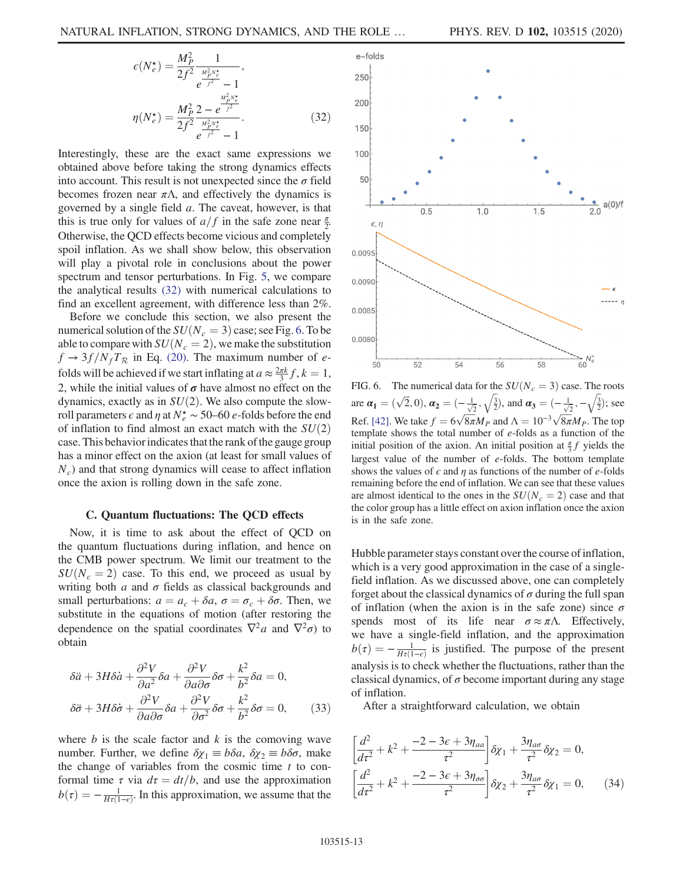$$
\epsilon(N_e^{\star}) = \frac{M_P^2}{2f^2} \frac{1}{e^{\frac{M_P^2 N_e^{\star}}{f^2}} - 1},
$$
  

$$
\eta(N_e^{\star}) = \frac{M_P^2}{2f^2} \frac{2 - e^{\frac{M_P^2 N_e^{\star}}{f^2}}}{e^{\frac{M_P^2 N_e^{\star}}{f^2}} - 1}.
$$
 (32)

Interestingly, these are the exact same expressions we obtained above before taking the strong dynamics effects into account. This result is not unexpected since the  $\sigma$  field becomes frozen near  $\pi \Lambda$ , and effectively the dynamics is governed by a single field a. The caveat, however, is that this is true only for values of  $a/f$  in the safe zone near  $\frac{\pi}{2}$ . Otherwise, the QCD effects become vicious and completely spoil inflation. As we shall show below, this observation will play a pivotal role in conclusions about the power spectrum and tensor perturbations. In Fig. [5](#page-12-4), we compare the analytical results [\(32\)](#page-12-2) with numerical calculations to find an excellent agreement, with difference less than 2%.

Before we conclude this section, we also present the numerical solution of the  $SU(N_c = 3)$  case; see Fig. [6](#page-13-0). To be able to compare with  $SU(N_c = 2)$ , we make the substitution  $f \rightarrow 3f/N_fT_R$  in Eq. [\(20\)](#page-9-1). The maximum number of efolds will be achieved if we start inflating at  $a \approx \frac{2\pi k}{3} f$ ,  $k = 1$ , 2, while the initial values of  $\sigma$  have almost no effect on the dynamics, exactly as in  $SU(2)$ . We also compute the slowroll parameters  $\epsilon$  and  $\eta$  at  $N_e^{\star} \sim 50$ –60  $e$ -folds before the end of inflation to find almost an exact match with the  $SU(2)$ case. This behavior indicates that the rank of the gauge group has a minor effect on the axion (at least for small values of  $N<sub>c</sub>$ ) and that strong dynamics will cease to affect inflation once the axion is rolling down in the safe zone.

#### C. Quantum fluctuations: The QCD effects

Now, it is time to ask about the effect of QCD on the quantum fluctuations during inflation, and hence on the CMB power spectrum. We limit our treatment to the  $SU(N_c = 2)$  case. To this end, we proceed as usual by writing both  $a$  and  $\sigma$  fields as classical backgrounds and small perturbations:  $a = a_c + \delta a$ ,  $\sigma = \sigma_c + \delta \sigma$ . Then, we substitute in the equations of motion (after restoring the dependence on the spatial coordinates  $\nabla^2 a$  and  $\nabla^2 \sigma$ ) to obtain

$$
\delta \ddot{a} + 3H \delta \dot{a} + \frac{\partial^2 V}{\partial a^2} \delta a + \frac{\partial^2 V}{\partial a \partial \sigma} \delta \sigma + \frac{k^2}{b^2} \delta a = 0,
$$
  

$$
\delta \ddot{\sigma} + 3H \delta \dot{\sigma} + \frac{\partial^2 V}{\partial a \partial \sigma} \delta a + \frac{\partial^2 V}{\partial \sigma^2} \delta \sigma + \frac{k^2}{b^2} \delta \sigma = 0,
$$
 (33)

where  $b$  is the scale factor and  $k$  is the comoving wave number. Further, we define  $\delta \chi_1 \equiv b \delta a$ ,  $\delta \chi_2 \equiv b \delta \sigma$ , make the change of variables from the cosmic time  $t$  to conformal time  $\tau$  via  $d\tau = dt/b$ , and use the approximation  $b(\tau) = -\frac{1}{H\tau(1-\epsilon)}$ . In this approximation, we assume that the

<span id="page-13-0"></span>

FIG. 6. The numerical data for the  $SU(N_c = 3)$  case. The roots are  $\alpha_1 = (\sqrt{2}, 0), \alpha_2 = (-\frac{1}{\sqrt{2}}, \sqrt{\frac{3}{2}})$ , and  $\alpha_3 = (-\frac{1}{\sqrt{2}}, -\sqrt{\frac{3}{2}})$ ; see Ref. [\[42\].](#page-15-24) We take  $f = 6\sqrt{8\pi}M_p$  and  $\Lambda = 10^{-3}\sqrt{8\pi}M_p$ . The top template shows the total number of e-folds as a function of the initial position of the axion. An initial position at  $\frac{\pi}{3}f$  yields the largest value of the number of  $e$ -folds. The bottom template shows the values of  $\epsilon$  and  $\eta$  as functions of the number of e-folds remaining before the end of inflation. We can see that these values are almost identical to the ones in the  $SU(N_c = 2)$  case and that the color group has a little effect on axion inflation once the axion is in the safe zone.

Hubble parameter stays constant over the course of inflation, which is a very good approximation in the case of a singlefield inflation. As we discussed above, one can completely forget about the classical dynamics of  $\sigma$  during the full span of inflation (when the axion is in the safe zone) since  $\sigma$ spends most of its life near  $\sigma \approx \pi \Lambda$ . Effectively, we have a single-field inflation, and the approximation  $b(\tau) = -\frac{1}{H\tau(1-\epsilon)}$  is justified. The purpose of the present analysis is to check whether the fluctuations, rather than the classical dynamics, of  $\sigma$  become important during any stage of inflation.

After a straightforward calculation, we obtain

$$
\left[\frac{d^2}{d\tau^2} + k^2 + \frac{-2 - 3\epsilon + 3\eta_{aa}}{\tau^2}\right] \delta \chi_1 + \frac{3\eta_{a\sigma}}{\tau^2} \delta \chi_2 = 0,
$$
\n
$$
\left[\frac{d^2}{d\tau^2} + k^2 + \frac{-2 - 3\epsilon + 3\eta_{\sigma\sigma}}{\tau^2}\right] \delta \chi_2 + \frac{3\eta_{a\sigma}}{\tau^2} \delta \chi_1 = 0,
$$
\n(34)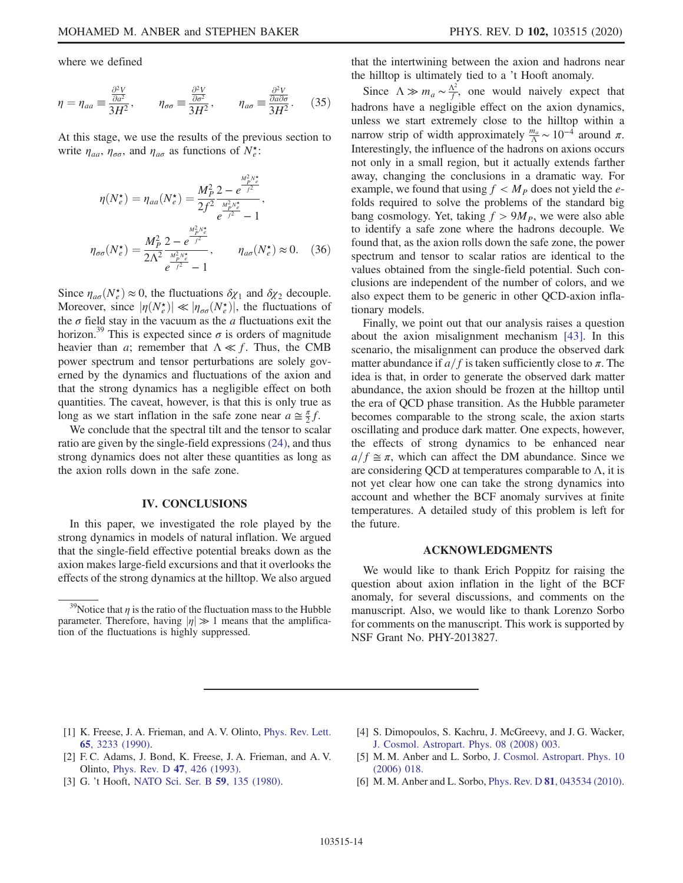where we defined

$$
\eta = \eta_{aa} \equiv \frac{\frac{\partial^2 V}{\partial a^2}}{3H^2}, \qquad \eta_{\sigma\sigma} \equiv \frac{\frac{\partial^2 V}{\partial \sigma^2}}{3H^2}, \qquad \eta_{a\sigma} \equiv \frac{\frac{\partial^2 V}{\partial a \partial \sigma}}{3H^2}.
$$
 (35)

At this stage, we use the results of the previous section to write  $\eta_{aa}$ ,  $\eta_{\sigma\sigma}$ , and  $\eta_{a\sigma}$  as functions of  $N_e^*$ :

$$
\eta(N_e^{\star}) = \eta_{aa}(N_e^{\star}) = \frac{M_P^2}{2f^2} \frac{2 - e^{\frac{M_P^2 N_e^{\star}}{f^2}}}{\frac{M_P^2 N_e^{\star}}{f^2} - 1},
$$
  

$$
\eta_{\sigma\sigma}(N_e^{\star}) = \frac{M_P^2}{2\Lambda^2} \frac{2 - e^{\frac{M_P^2 N_e^{\star}}{f^2}}}{\frac{M_P^2 N_e^{\star}}{f^2} - 1}, \qquad \eta_{a\sigma}(N_e^{\star}) \approx 0. \quad (36)
$$

Since  $\eta_{a\sigma}(N_e^{\star}) \approx 0$ , the fluctuations  $\delta \chi_1$  and  $\delta \chi_2$  decouple. Moreover, since  $|\eta(N_e^{\star})| \ll |\eta_{\sigma\sigma}(N_e^{\star})|$ , the fluctuations of the  $\sigma$  field stay in the vacuum as the  $\alpha$  fluctuations exit the horizon.<sup>39</sup> This is expected since  $\sigma$  is orders of magnitude heavier than *a*; remember that  $\Lambda \ll f$ . Thus, the CMB power spectrum and tensor perturbations are solely governed by the dynamics and fluctuations of the axion and that the strong dynamics has a negligible effect on both quantities. The caveat, however, is that this is only true as long as we start inflation in the safe zone near  $a \approx \frac{\pi}{2} f$ .

<span id="page-14-4"></span>We conclude that the spectral tilt and the tensor to scalar ratio are given by the single-field expressions [\(24\)](#page-10-4), and thus strong dynamics does not alter these quantities as long as the axion rolls down in the safe zone.

### IV. CONCLUSIONS

In this paper, we investigated the role played by the strong dynamics in models of natural inflation. We argued that the single-field effective potential breaks down as the axion makes large-field excursions and that it overlooks the effects of the strong dynamics at the hilltop. We also argued that the intertwining between the axion and hadrons near the hilltop is ultimately tied to a 't Hooft anomaly.

Since  $\Lambda \gg m_a \sim \frac{\Lambda^2}{f}$ , one would naively expect that hadrons have a negligible effect on the axion dynamics, unless we start extremely close to the hilltop within a narrow strip of width approximately  $\frac{m_a}{\Lambda} \sim 10^{-4}$  around  $\pi$ . Interestingly, the influence of the hadrons on axions occurs not only in a small region, but it actually extends farther away, changing the conclusions in a dramatic way. For example, we found that using  $f < M_P$  does not yield the efolds required to solve the problems of the standard big bang cosmology. Yet, taking  $f > 9M_p$ , we were also able to identify a safe zone where the hadrons decouple. We found that, as the axion rolls down the safe zone, the power spectrum and tensor to scalar ratios are identical to the values obtained from the single-field potential. Such conclusions are independent of the number of colors, and we also expect them to be generic in other QCD-axion inflationary models.

Finally, we point out that our analysis raises a question about the axion misalignment mechanism [\[43\].](#page-15-25) In this scenario, the misalignment can produce the observed dark matter abundance if  $a/f$  is taken sufficiently close to  $\pi$ . The idea is that, in order to generate the observed dark matter abundance, the axion should be frozen at the hilltop until the era of QCD phase transition. As the Hubble parameter becomes comparable to the strong scale, the axion starts oscillating and produce dark matter. One expects, however, the effects of strong dynamics to be enhanced near  $a/f \cong \pi$ , which can affect the DM abundance. Since we are considering QCD at temperatures comparable to  $\Lambda$ , it is not yet clear how one can take the strong dynamics into account and whether the BCF anomaly survives at finite temperatures. A detailed study of this problem is left for the future.

## ACKNOWLEDGMENTS

We would like to thank Erich Poppitz for raising the question about axion inflation in the light of the BCF anomaly, for several discussions, and comments on the manuscript. Also, we would like to thank Lorenzo Sorbo for comments on the manuscript. This work is supported by NSF Grant No. PHY-2013827.

- <span id="page-14-0"></span>[1] K. Freese, J. A. Frieman, and A. V. Olinto, [Phys. Rev. Lett.](https://doi.org/10.1103/PhysRevLett.65.3233) 65[, 3233 \(1990\)](https://doi.org/10.1103/PhysRevLett.65.3233).
- <span id="page-14-3"></span>[2] F. C. Adams, J. Bond, K. Freese, J. A. Frieman, and A. V. Olinto, [Phys. Rev. D](https://doi.org/10.1103/PhysRevD.47.426) 47, 426 (1993).
- <span id="page-14-1"></span>[3] G. 't Hooft, [NATO Sci. Ser. B](https://doi.org/10.1007/978-1-4684-7571-5_9) 59, 135 (1980).
- <span id="page-14-2"></span>[4] S. Dimopoulos, S. Kachru, J. McGreevy, and J. G. Wacker, [J. Cosmol. Astropart. Phys. 08 \(2008\) 003.](https://doi.org/10.1088/1475-7516/2008/08/003)
- [5] M. M. Anber and L. Sorbo, [J. Cosmol. Astropart. Phys. 10](https://doi.org/10.1088/1475-7516/2006/10/018) [\(2006\) 018.](https://doi.org/10.1088/1475-7516/2006/10/018)
- [6] M. M. Anber and L. Sorbo, Phys. Rev. D 81[, 043534 \(2010\).](https://doi.org/10.1103/PhysRevD.81.043534)

<sup>&</sup>lt;sup>39</sup>Notice that  $\eta$  is the ratio of the fluctuation mass to the Hubble parameter. Therefore, having  $|\eta| \gg 1$  means that the amplification of the fluctuations is highly suppressed.